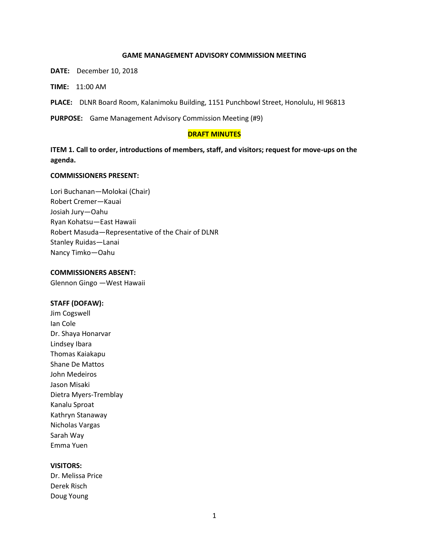#### **GAME MANAGEMENT ADVISORY COMMISSION MEETING**

**DATE:** December 10, 2018

**TIME:** 11:00 AM

**PLACE:** DLNR Board Room, Kalanimoku Building, 1151 Punchbowl Street, Honolulu, HI 96813

**PURPOSE:** Game Management Advisory Commission Meeting (#9)

### **DRAFT MINUTES**

**ITEM 1. Call to order, introductions of members, staff, and visitors; request for move-ups on the agenda.**

#### **COMMISSIONERS PRESENT:**

Lori Buchanan—Molokai (Chair) Robert Cremer—Kauai Josiah Jury—Oahu Ryan Kohatsu—East Hawaii Robert Masuda—Representative of the Chair of DLNR Stanley Ruidas—Lanai Nancy Timko—Oahu

#### **COMMISSIONERS ABSENT:**

Glennon Gingo —West Hawaii

#### **STAFF (DOFAW):**

Jim Cogswell Ian Cole Dr. Shaya Honarvar Lindsey Ibara Thomas Kaiakapu Shane De Mattos John Medeiros Jason Misaki Dietra Myers-Tremblay Kanalu Sproat Kathryn Stanaway Nicholas Vargas Sarah Way Emma Yuen

## **VISITORS:**

Dr. Melissa Price Derek Risch Doug Young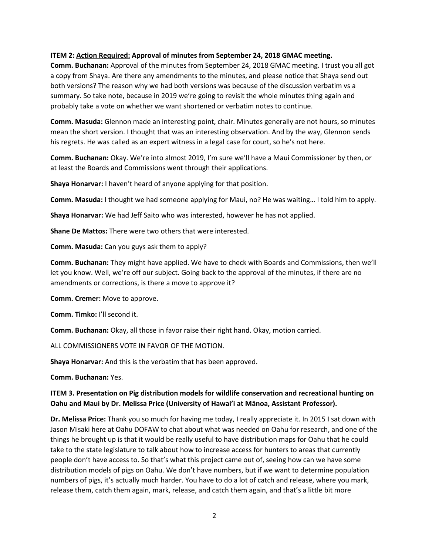## **ITEM 2: Action Required: Approval of minutes from September 24, 2018 GMAC meeting.**

**Comm. Buchanan:** Approval of the minutes from September 24, 2018 GMAC meeting. I trust you all got a copy from Shaya. Are there any amendments to the minutes, and please notice that Shaya send out both versions? The reason why we had both versions was because of the discussion verbatim vs a summary. So take note, because in 2019 we're going to revisit the whole minutes thing again and probably take a vote on whether we want shortened or verbatim notes to continue.

**Comm. Masuda:** Glennon made an interesting point, chair. Minutes generally are not hours, so minutes mean the short version. I thought that was an interesting observation. And by the way, Glennon sends his regrets. He was called as an expert witness in a legal case for court, so he's not here.

**Comm. Buchanan:** Okay. We're into almost 2019, I'm sure we'll have a Maui Commissioner by then, or at least the Boards and Commissions went through their applications.

**Shaya Honarvar:** I haven't heard of anyone applying for that position.

**Comm. Masuda:** I thought we had someone applying for Maui, no? He was waiting… I told him to apply.

**Shaya Honarvar:** We had Jeff Saito who was interested, however he has not applied.

**Shane De Mattos:** There were two others that were interested.

**Comm. Masuda:** Can you guys ask them to apply?

**Comm. Buchanan:** They might have applied. We have to check with Boards and Commissions, then we'll let you know. Well, we're off our subject. Going back to the approval of the minutes, if there are no amendments or corrections, is there a move to approve it?

**Comm. Cremer:** Move to approve.

**Comm. Timko:** I'll second it.

**Comm. Buchanan:** Okay, all those in favor raise their right hand. Okay, motion carried.

ALL COMMISSIONERS VOTE IN FAVOR OF THE MOTION.

**Shaya Honarvar:** And this is the verbatim that has been approved.

**Comm. Buchanan:** Yes.

# **ITEM 3. Presentation on Pig distribution models for wildlife conservation and recreational hunting on Oahu and Maui by Dr. Melissa Price (University of Hawai'i at Mānoa, Assistant Professor).**

**Dr. Melissa Price:** Thank you so much for having me today, I really appreciate it. In 2015 I sat down with Jason Misaki here at Oahu DOFAW to chat about what was needed on Oahu for research, and one of the things he brought up is that it would be really useful to have distribution maps for Oahu that he could take to the state legislature to talk about how to increase access for hunters to areas that currently people don't have access to. So that's what this project came out of, seeing how can we have some distribution models of pigs on Oahu. We don't have numbers, but if we want to determine population numbers of pigs, it's actually much harder. You have to do a lot of catch and release, where you mark, release them, catch them again, mark, release, and catch them again, and that's a little bit more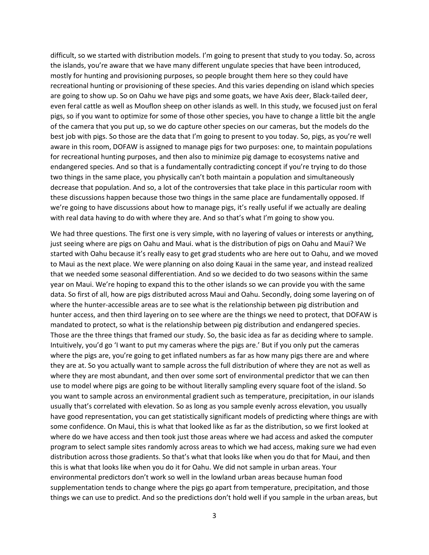difficult, so we started with distribution models. I'm going to present that study to you today. So, across the islands, you're aware that we have many different ungulate species that have been introduced, mostly for hunting and provisioning purposes, so people brought them here so they could have recreational hunting or provisioning of these species. And this varies depending on island which species are going to show up. So on Oahu we have pigs and some goats, we have Axis deer, Black-tailed deer, even feral cattle as well as Mouflon sheep on other islands as well. In this study, we focused just on feral pigs, so if you want to optimize for some of those other species, you have to change a little bit the angle of the camera that you put up, so we do capture other species on our cameras, but the models do the best job with pigs. So those are the data that I'm going to present to you today. So, pigs, as you're well aware in this room, DOFAW is assigned to manage pigs for two purposes: one, to maintain populations for recreational hunting purposes, and then also to minimize pig damage to ecosystems native and endangered species. And so that is a fundamentally contradicting concept if you're trying to do those two things in the same place, you physically can't both maintain a population and simultaneously decrease that population. And so, a lot of the controversies that take place in this particular room with these discussions happen because those two things in the same place are fundamentally opposed. If we're going to have discussions about how to manage pigs, it's really useful if we actually are dealing with real data having to do with where they are. And so that's what I'm going to show you.

We had three questions. The first one is very simple, with no layering of values or interests or anything, just seeing where are pigs on Oahu and Maui. what is the distribution of pigs on Oahu and Maui? We started with Oahu because it's really easy to get grad students who are here out to Oahu, and we moved to Maui as the next place. We were planning on also doing Kauai in the same year, and instead realized that we needed some seasonal differentiation. And so we decided to do two seasons within the same year on Maui. We're hoping to expand this to the other islands so we can provide you with the same data. So first of all, how are pigs distributed across Maui and Oahu. Secondly, doing some layering on of where the hunter-accessible areas are to see what is the relationship between pig distribution and hunter access, and then third layering on to see where are the things we need to protect, that DOFAW is mandated to protect, so what is the relationship between pig distribution and endangered species. Those are the three things that framed our study. So, the basic idea as far as deciding where to sample. Intuitively, you'd go 'I want to put my cameras where the pigs are.' But if you only put the cameras where the pigs are, you're going to get inflated numbers as far as how many pigs there are and where they are at. So you actually want to sample across the full distribution of where they are not as well as where they are most abundant, and then over some sort of environmental predictor that we can then use to model where pigs are going to be without literally sampling every square foot of the island. So you want to sample across an environmental gradient such as temperature, precipitation, in our islands usually that's correlated with elevation. So as long as you sample evenly across elevation, you usually have good representation, you can get statistically significant models of predicting where things are with some confidence. On Maui, this is what that looked like as far as the distribution, so we first looked at where do we have access and then took just those areas where we had access and asked the computer program to select sample sites randomly across areas to which we had access, making sure we had even distribution across those gradients. So that's what that looks like when you do that for Maui, and then this is what that looks like when you do it for Oahu. We did not sample in urban areas. Your environmental predictors don't work so well in the lowland urban areas because human food supplementation tends to change where the pigs go apart from temperature, precipitation, and those things we can use to predict. And so the predictions don't hold well if you sample in the urban areas, but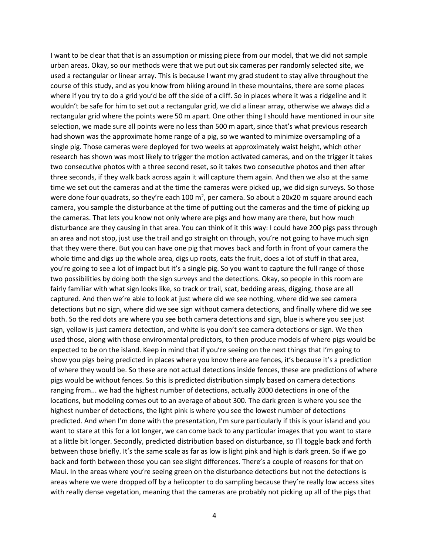I want to be clear that that is an assumption or missing piece from our model, that we did not sample urban areas. Okay, so our methods were that we put out six cameras per randomly selected site, we used a rectangular or linear array. This is because I want my grad student to stay alive throughout the course of this study, and as you know from hiking around in these mountains, there are some places where if you try to do a grid you'd be off the side of a cliff. So in places where it was a ridgeline and it wouldn't be safe for him to set out a rectangular grid, we did a linear array, otherwise we always did a rectangular grid where the points were 50 m apart. One other thing I should have mentioned in our site selection, we made sure all points were no less than 500 m apart, since that's what previous research had shown was the approximate home range of a pig, so we wanted to minimize oversampling of a single pig. Those cameras were deployed for two weeks at approximately waist height, which other research has shown was most likely to trigger the motion activated cameras, and on the trigger it takes two consecutive photos with a three second reset, so it takes two consecutive photos and then after three seconds, if they walk back across again it will capture them again. And then we also at the same time we set out the cameras and at the time the cameras were picked up, we did sign surveys. So those were done four quadrats, so they're each 100 m<sup>2</sup>, per camera. So about a 20x20 m square around each camera, you sample the disturbance at the time of putting out the cameras and the time of picking up the cameras. That lets you know not only where are pigs and how many are there, but how much disturbance are they causing in that area. You can think of it this way: I could have 200 pigs pass through an area and not stop, just use the trail and go straight on through, you're not going to have much sign that they were there. But you can have one pig that moves back and forth in front of your camera the whole time and digs up the whole area, digs up roots, eats the fruit, does a lot of stuff in that area, you're going to see a lot of impact but it's a single pig. So you want to capture the full range of those two possibilities by doing both the sign surveys and the detections. Okay, so people in this room are fairly familiar with what sign looks like, so track or trail, scat, bedding areas, digging, those are all captured. And then we're able to look at just where did we see nothing, where did we see camera detections but no sign, where did we see sign without camera detections, and finally where did we see both. So the red dots are where you see both camera detections and sign, blue is where you see just sign, yellow is just camera detection, and white is you don't see camera detections or sign. We then used those, along with those environmental predictors, to then produce models of where pigs would be expected to be on the island. Keep in mind that if you're seeing on the next things that I'm going to show you pigs being predicted in places where you know there are fences, it's because it's a prediction of where they would be. So these are not actual detections inside fences, these are predictions of where pigs would be without fences. So this is predicted distribution simply based on camera detections ranging from... we had the highest number of detections, actually 2000 detections in one of the locations, but modeling comes out to an average of about 300. The dark green is where you see the highest number of detections, the light pink is where you see the lowest number of detections predicted. And when I'm done with the presentation, I'm sure particularly if this is your island and you want to stare at this for a lot longer, we can come back to any particular images that you want to stare at a little bit longer. Secondly, predicted distribution based on disturbance, so I'll toggle back and forth between those briefly. It's the same scale as far as low is light pink and high is dark green. So if we go back and forth between those you can see slight differences. There's a couple of reasons for that on Maui. In the areas where you're seeing green on the disturbance detections but not the detections is areas where we were dropped off by a helicopter to do sampling because they're really low access sites with really dense vegetation, meaning that the cameras are probably not picking up all of the pigs that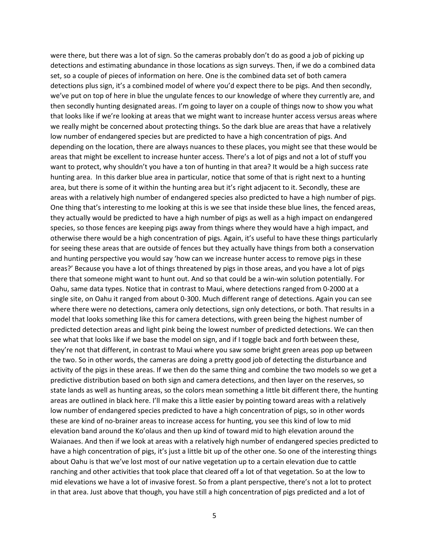were there, but there was a lot of sign. So the cameras probably don't do as good a job of picking up detections and estimating abundance in those locations as sign surveys. Then, if we do a combined data set, so a couple of pieces of information on here. One is the combined data set of both camera detections plus sign, it's a combined model of where you'd expect there to be pigs. And then secondly, we've put on top of here in blue the ungulate fences to our knowledge of where they currently are, and then secondly hunting designated areas. I'm going to layer on a couple of things now to show you what that looks like if we're looking at areas that we might want to increase hunter access versus areas where we really might be concerned about protecting things. So the dark blue are areas that have a relatively low number of endangered species but are predicted to have a high concentration of pigs. And depending on the location, there are always nuances to these places, you might see that these would be areas that might be excellent to increase hunter access. There's a lot of pigs and not a lot of stuff you want to protect, why shouldn't you have a ton of hunting in that area? It would be a high success rate hunting area. In this darker blue area in particular, notice that some of that is right next to a hunting area, but there is some of it within the hunting area but it's right adjacent to it. Secondly, these are areas with a relatively high number of endangered species also predicted to have a high number of pigs. One thing that's interesting to me looking at this is we see that inside these blue lines, the fenced areas, they actually would be predicted to have a high number of pigs as well as a high impact on endangered species, so those fences are keeping pigs away from things where they would have a high impact, and otherwise there would be a high concentration of pigs. Again, it's useful to have these things particularly for seeing these areas that are outside of fences but they actually have things from both a conservation and hunting perspective you would say 'how can we increase hunter access to remove pigs in these areas?' Because you have a lot of things threatened by pigs in those areas, and you have a lot of pigs there that someone might want to hunt out. And so that could be a win-win solution potentially. For Oahu, same data types. Notice that in contrast to Maui, where detections ranged from 0-2000 at a single site, on Oahu it ranged from about 0-300. Much different range of detections. Again you can see where there were no detections, camera only detections, sign only detections, or both. That results in a model that looks something like this for camera detections, with green being the highest number of predicted detection areas and light pink being the lowest number of predicted detections. We can then see what that looks like if we base the model on sign, and if I toggle back and forth between these, they're not that different, in contrast to Maui where you saw some bright green areas pop up between the two. So in other words, the cameras are doing a pretty good job of detecting the disturbance and activity of the pigs in these areas. If we then do the same thing and combine the two models so we get a predictive distribution based on both sign and camera detections, and then layer on the reserves, so state lands as well as hunting areas, so the colors mean something a little bit different there, the hunting areas are outlined in black here. I'll make this a little easier by pointing toward areas with a relatively low number of endangered species predicted to have a high concentration of pigs, so in other words these are kind of no-brainer areas to increase access for hunting, you see this kind of low to mid elevation band around the Ko'olaus and then up kind of toward mid to high elevation around the Waianaes. And then if we look at areas with a relatively high number of endangered species predicted to have a high concentration of pigs, it's just a little bit up of the other one. So one of the interesting things about Oahu is that we've lost most of our native vegetation up to a certain elevation due to cattle ranching and other activities that took place that cleared off a lot of that vegetation. So at the low to mid elevations we have a lot of invasive forest. So from a plant perspective, there's not a lot to protect in that area. Just above that though, you have still a high concentration of pigs predicted and a lot of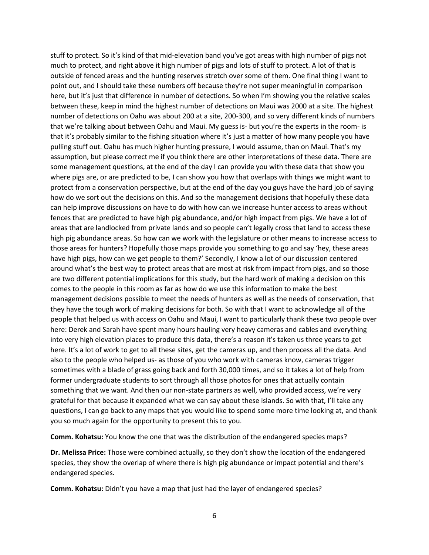stuff to protect. So it's kind of that mid-elevation band you've got areas with high number of pigs not much to protect, and right above it high number of pigs and lots of stuff to protect. A lot of that is outside of fenced areas and the hunting reserves stretch over some of them. One final thing I want to point out, and I should take these numbers off because they're not super meaningful in comparison here, but it's just that difference in number of detections. So when I'm showing you the relative scales between these, keep in mind the highest number of detections on Maui was 2000 at a site. The highest number of detections on Oahu was about 200 at a site, 200-300, and so very different kinds of numbers that we're talking about between Oahu and Maui. My guess is- but you're the experts in the room- is that it's probably similar to the fishing situation where it's just a matter of how many people you have pulling stuff out. Oahu has much higher hunting pressure, I would assume, than on Maui. That's my assumption, but please correct me if you think there are other interpretations of these data. There are some management questions, at the end of the day I can provide you with these data that show you where pigs are, or are predicted to be, I can show you how that overlaps with things we might want to protect from a conservation perspective, but at the end of the day you guys have the hard job of saying how do we sort out the decisions on this. And so the management decisions that hopefully these data can help improve discussions on have to do with how can we increase hunter access to areas without fences that are predicted to have high pig abundance, and/or high impact from pigs. We have a lot of areas that are landlocked from private lands and so people can't legally cross that land to access these high pig abundance areas. So how can we work with the legislature or other means to increase access to those areas for hunters? Hopefully those maps provide you something to go and say 'hey, these areas have high pigs, how can we get people to them?' Secondly, I know a lot of our discussion centered around what's the best way to protect areas that are most at risk from impact from pigs, and so those are two different potential implications for this study, but the hard work of making a decision on this comes to the people in this room as far as how do we use this information to make the best management decisions possible to meet the needs of hunters as well as the needs of conservation, that they have the tough work of making decisions for both. So with that I want to acknowledge all of the people that helped us with access on Oahu and Maui, I want to particularly thank these two people over here: Derek and Sarah have spent many hours hauling very heavy cameras and cables and everything into very high elevation places to produce this data, there's a reason it's taken us three years to get here. It's a lot of work to get to all these sites, get the cameras up, and then process all the data. And also to the people who helped us- as those of you who work with cameras know, cameras trigger sometimes with a blade of grass going back and forth 30,000 times, and so it takes a lot of help from former undergraduate students to sort through all those photos for ones that actually contain something that we want. And then our non-state partners as well, who provided access, we're very grateful for that because it expanded what we can say about these islands. So with that, I'll take any questions, I can go back to any maps that you would like to spend some more time looking at, and thank you so much again for the opportunity to present this to you.

**Comm. Kohatsu:** You know the one that was the distribution of the endangered species maps?

**Dr. Melissa Price:** Those were combined actually, so they don't show the location of the endangered species, they show the overlap of where there is high pig abundance or impact potential and there's endangered species.

**Comm. Kohatsu:** Didn't you have a map that just had the layer of endangered species?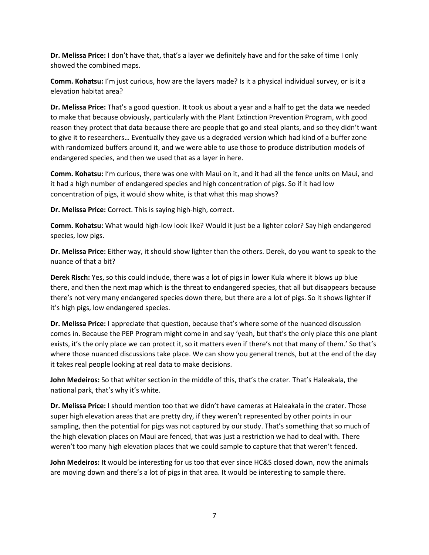**Dr. Melissa Price:** I don't have that, that's a layer we definitely have and for the sake of time I only showed the combined maps.

**Comm. Kohatsu:** I'm just curious, how are the layers made? Is it a physical individual survey, or is it a elevation habitat area?

**Dr. Melissa Price:** That's a good question. It took us about a year and a half to get the data we needed to make that because obviously, particularly with the Plant Extinction Prevention Program, with good reason they protect that data because there are people that go and steal plants, and so they didn't want to give it to researchers… Eventually they gave us a degraded version which had kind of a buffer zone with randomized buffers around it, and we were able to use those to produce distribution models of endangered species, and then we used that as a layer in here.

**Comm. Kohatsu:** I'm curious, there was one with Maui on it, and it had all the fence units on Maui, and it had a high number of endangered species and high concentration of pigs. So if it had low concentration of pigs, it would show white, is that what this map shows?

**Dr. Melissa Price:** Correct. This is saying high-high, correct.

**Comm. Kohatsu:** What would high-low look like? Would it just be a lighter color? Say high endangered species, low pigs.

**Dr. Melissa Price:** Either way, it should show lighter than the others. Derek, do you want to speak to the nuance of that a bit?

**Derek Risch:** Yes, so this could include, there was a lot of pigs in lower Kula where it blows up blue there, and then the next map which is the threat to endangered species, that all but disappears because there's not very many endangered species down there, but there are a lot of pigs. So it shows lighter if it's high pigs, low endangered species.

**Dr. Melissa Price:** I appreciate that question, because that's where some of the nuanced discussion comes in. Because the PEP Program might come in and say 'yeah, but that's the only place this one plant exists, it's the only place we can protect it, so it matters even if there's not that many of them.' So that's where those nuanced discussions take place. We can show you general trends, but at the end of the day it takes real people looking at real data to make decisions.

**John Medeiros:** So that whiter section in the middle of this, that's the crater. That's Haleakala, the national park, that's why it's white.

**Dr. Melissa Price:** I should mention too that we didn't have cameras at Haleakala in the crater. Those super high elevation areas that are pretty dry, if they weren't represented by other points in our sampling, then the potential for pigs was not captured by our study. That's something that so much of the high elevation places on Maui are fenced, that was just a restriction we had to deal with. There weren't too many high elevation places that we could sample to capture that that weren't fenced.

**John Medeiros:** It would be interesting for us too that ever since HC&S closed down, now the animals are moving down and there's a lot of pigs in that area. It would be interesting to sample there.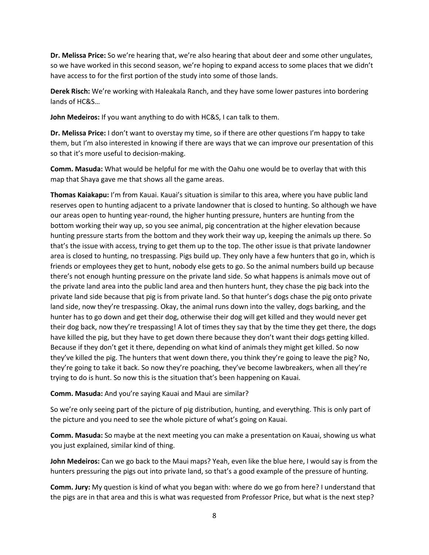**Dr. Melissa Price:** So we're hearing that, we're also hearing that about deer and some other ungulates, so we have worked in this second season, we're hoping to expand access to some places that we didn't have access to for the first portion of the study into some of those lands.

**Derek Risch:** We're working with Haleakala Ranch, and they have some lower pastures into bordering lands of HC&S…

**John Medeiros:** If you want anything to do with HC&S, I can talk to them.

**Dr. Melissa Price:** I don't want to overstay my time, so if there are other questions I'm happy to take them, but I'm also interested in knowing if there are ways that we can improve our presentation of this so that it's more useful to decision-making.

**Comm. Masuda:** What would be helpful for me with the Oahu one would be to overlay that with this map that Shaya gave me that shows all the game areas.

**Thomas Kaiakapu:** I'm from Kauai. Kauai's situation is similar to this area, where you have public land reserves open to hunting adjacent to a private landowner that is closed to hunting. So although we have our areas open to hunting year-round, the higher hunting pressure, hunters are hunting from the bottom working their way up, so you see animal, pig concentration at the higher elevation because hunting pressure starts from the bottom and they work their way up, keeping the animals up there. So that's the issue with access, trying to get them up to the top. The other issue is that private landowner area is closed to hunting, no trespassing. Pigs build up. They only have a few hunters that go in, which is friends or employees they get to hunt, nobody else gets to go. So the animal numbers build up because there's not enough hunting pressure on the private land side. So what happens is animals move out of the private land area into the public land area and then hunters hunt, they chase the pig back into the private land side because that pig is from private land. So that hunter's dogs chase the pig onto private land side, now they're trespassing. Okay, the animal runs down into the valley, dogs barking, and the hunter has to go down and get their dog, otherwise their dog will get killed and they would never get their dog back, now they're trespassing! A lot of times they say that by the time they get there, the dogs have killed the pig, but they have to get down there because they don't want their dogs getting killed. Because if they don't get it there, depending on what kind of animals they might get killed. So now they've killed the pig. The hunters that went down there, you think they're going to leave the pig? No, they're going to take it back. So now they're poaching, they've become lawbreakers, when all they're trying to do is hunt. So now this is the situation that's been happening on Kauai.

**Comm. Masuda:** And you're saying Kauai and Maui are similar?

So we're only seeing part of the picture of pig distribution, hunting, and everything. This is only part of the picture and you need to see the whole picture of what's going on Kauai.

**Comm. Masuda:** So maybe at the next meeting you can make a presentation on Kauai, showing us what you just explained, similar kind of thing.

**John Medeiros:** Can we go back to the Maui maps? Yeah, even like the blue here, I would say is from the hunters pressuring the pigs out into private land, so that's a good example of the pressure of hunting.

**Comm. Jury:** My question is kind of what you began with: where do we go from here? I understand that the pigs are in that area and this is what was requested from Professor Price, but what is the next step?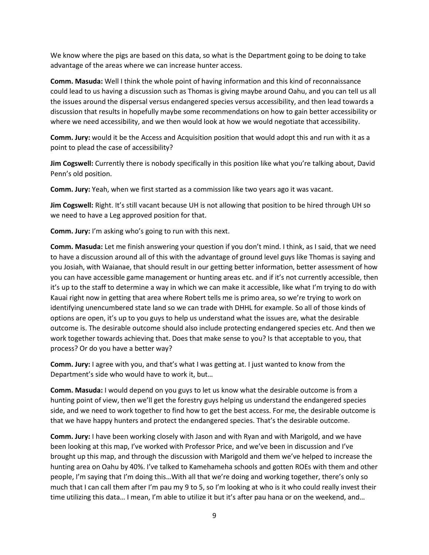We know where the pigs are based on this data, so what is the Department going to be doing to take advantage of the areas where we can increase hunter access.

**Comm. Masuda:** Well I think the whole point of having information and this kind of reconnaissance could lead to us having a discussion such as Thomas is giving maybe around Oahu, and you can tell us all the issues around the dispersal versus endangered species versus accessibility, and then lead towards a discussion that results in hopefully maybe some recommendations on how to gain better accessibility or where we need accessibility, and we then would look at how we would negotiate that accessibility.

**Comm. Jury:** would it be the Access and Acquisition position that would adopt this and run with it as a point to plead the case of accessibility?

**Jim Cogswell:** Currently there is nobody specifically in this position like what you're talking about, David Penn's old position.

**Comm. Jury:** Yeah, when we first started as a commission like two years ago it was vacant.

**Jim Cogswell:** Right. It's still vacant because UH is not allowing that position to be hired through UH so we need to have a Leg approved position for that.

**Comm. Jury:** I'm asking who's going to run with this next.

**Comm. Masuda:** Let me finish answering your question if you don't mind. I think, as I said, that we need to have a discussion around all of this with the advantage of ground level guys like Thomas is saying and you Josiah, with Waianae, that should result in our getting better information, better assessment of how you can have accessible game management or hunting areas etc. and if it's not currently accessible, then it's up to the staff to determine a way in which we can make it accessible, like what I'm trying to do with Kauai right now in getting that area where Robert tells me is primo area, so we're trying to work on identifying unencumbered state land so we can trade with DHHL for example. So all of those kinds of options are open, it's up to you guys to help us understand what the issues are, what the desirable outcome is. The desirable outcome should also include protecting endangered species etc. And then we work together towards achieving that. Does that make sense to you? Is that acceptable to you, that process? Or do you have a better way?

**Comm. Jury:** I agree with you, and that's what I was getting at. I just wanted to know from the Department's side who would have to work it, but…

**Comm. Masuda:** I would depend on you guys to let us know what the desirable outcome is from a hunting point of view, then we'll get the forestry guys helping us understand the endangered species side, and we need to work together to find how to get the best access. For me, the desirable outcome is that we have happy hunters and protect the endangered species. That's the desirable outcome.

**Comm. Jury:** I have been working closely with Jason and with Ryan and with Marigold, and we have been looking at this map, I've worked with Professor Price, and we've been in discussion and I've brought up this map, and through the discussion with Marigold and them we've helped to increase the hunting area on Oahu by 40%. I've talked to Kamehameha schools and gotten ROEs with them and other people, I'm saying that I'm doing this…With all that we're doing and working together, there's only so much that I can call them after I'm pau my 9 to 5, so I'm looking at who is it who could really invest their time utilizing this data... I mean, I'm able to utilize it but it's after pau hana or on the weekend, and...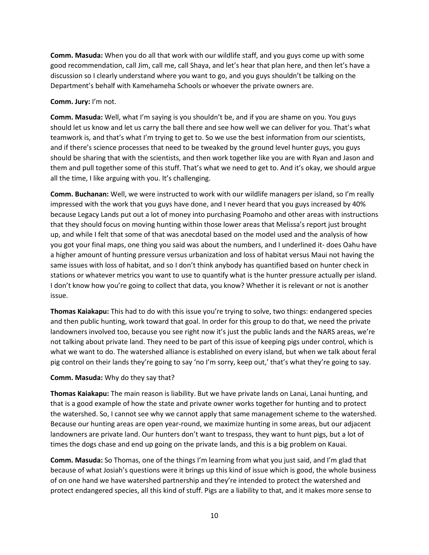**Comm. Masuda:** When you do all that work with our wildlife staff, and you guys come up with some good recommendation, call Jim, call me, call Shaya, and let's hear that plan here, and then let's have a discussion so I clearly understand where you want to go, and you guys shouldn't be talking on the Department's behalf with Kamehameha Schools or whoever the private owners are.

## **Comm. Jury:** I'm not.

**Comm. Masuda:** Well, what I'm saying is you shouldn't be, and if you are shame on you. You guys should let us know and let us carry the ball there and see how well we can deliver for you. That's what teamwork is, and that's what I'm trying to get to. So we use the best information from our scientists, and if there's science processes that need to be tweaked by the ground level hunter guys, you guys should be sharing that with the scientists, and then work together like you are with Ryan and Jason and them and pull together some of this stuff. That's what we need to get to. And it's okay, we should argue all the time, I like arguing with you. It's challenging.

**Comm. Buchanan:** Well, we were instructed to work with our wildlife managers per island, so I'm really impressed with the work that you guys have done, and I never heard that you guys increased by 40% because Legacy Lands put out a lot of money into purchasing Poamoho and other areas with instructions that they should focus on moving hunting within those lower areas that Melissa's report just brought up, and while I felt that some of that was anecdotal based on the model used and the analysis of how you got your final maps, one thing you said was about the numbers, and I underlined it- does Oahu have a higher amount of hunting pressure versus urbanization and loss of habitat versus Maui not having the same issues with loss of habitat, and so I don't think anybody has quantified based on hunter check in stations or whatever metrics you want to use to quantify what is the hunter pressure actually per island. I don't know how you're going to collect that data, you know? Whether it is relevant or not is another issue.

**Thomas Kaiakapu:** This had to do with this issue you're trying to solve, two things: endangered species and then public hunting, work toward that goal. In order for this group to do that, we need the private landowners involved too, because you see right now it's just the public lands and the NARS areas, we're not talking about private land. They need to be part of this issue of keeping pigs under control, which is what we want to do. The watershed alliance is established on every island, but when we talk about feral pig control on their lands they're going to say 'no I'm sorry, keep out,' that's what they're going to say.

# **Comm. Masuda:** Why do they say that?

**Thomas Kaiakapu:** The main reason is liability. But we have private lands on Lanai, Lanai hunting, and that is a good example of how the state and private owner works together for hunting and to protect the watershed. So, I cannot see why we cannot apply that same management scheme to the watershed. Because our hunting areas are open year-round, we maximize hunting in some areas, but our adjacent landowners are private land. Our hunters don't want to trespass, they want to hunt pigs, but a lot of times the dogs chase and end up going on the private lands, and this is a big problem on Kauai.

**Comm. Masuda:** So Thomas, one of the things I'm learning from what you just said, and I'm glad that because of what Josiah's questions were it brings up this kind of issue which is good, the whole business of on one hand we have watershed partnership and they're intended to protect the watershed and protect endangered species, all this kind of stuff. Pigs are a liability to that, and it makes more sense to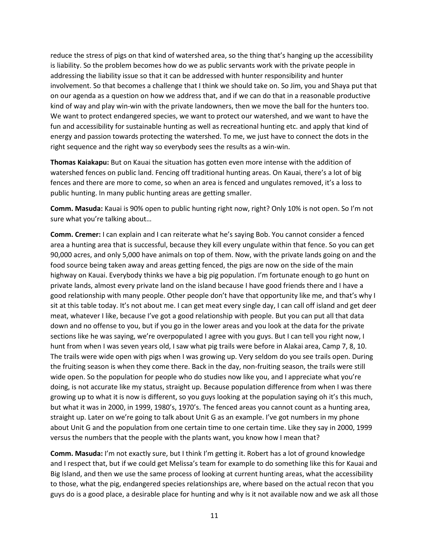reduce the stress of pigs on that kind of watershed area, so the thing that's hanging up the accessibility is liability. So the problem becomes how do we as public servants work with the private people in addressing the liability issue so that it can be addressed with hunter responsibility and hunter involvement. So that becomes a challenge that I think we should take on. So Jim, you and Shaya put that on our agenda as a question on how we address that, and if we can do that in a reasonable productive kind of way and play win-win with the private landowners, then we move the ball for the hunters too. We want to protect endangered species, we want to protect our watershed, and we want to have the fun and accessibility for sustainable hunting as well as recreational hunting etc. and apply that kind of energy and passion towards protecting the watershed. To me, we just have to connect the dots in the right sequence and the right way so everybody sees the results as a win-win.

**Thomas Kaiakapu:** But on Kauai the situation has gotten even more intense with the addition of watershed fences on public land. Fencing off traditional hunting areas. On Kauai, there's a lot of big fences and there are more to come, so when an area is fenced and ungulates removed, it's a loss to public hunting. In many public hunting areas are getting smaller.

**Comm. Masuda:** Kauai is 90% open to public hunting right now, right? Only 10% is not open. So I'm not sure what you're talking about…

**Comm. Cremer:** I can explain and I can reiterate what he's saying Bob. You cannot consider a fenced area a hunting area that is successful, because they kill every ungulate within that fence. So you can get 90,000 acres, and only 5,000 have animals on top of them. Now, with the private lands going on and the food source being taken away and areas getting fenced, the pigs are now on the side of the main highway on Kauai. Everybody thinks we have a big pig population. I'm fortunate enough to go hunt on private lands, almost every private land on the island because I have good friends there and I have a good relationship with many people. Other people don't have that opportunity like me, and that's why I sit at this table today. It's not about me. I can get meat every single day, I can call off island and get deer meat, whatever I like, because I've got a good relationship with people. But you can put all that data down and no offense to you, but if you go in the lower areas and you look at the data for the private sections like he was saying, we're overpopulated I agree with you guys. But I can tell you right now, I hunt from when I was seven years old, I saw what pig trails were before in Alakai area, Camp 7, 8, 10. The trails were wide open with pigs when I was growing up. Very seldom do you see trails open. During the fruiting season is when they come there. Back in the day, non-fruiting season, the trails were still wide open. So the population for people who do studies now like you, and I appreciate what you're doing, is not accurate like my status, straight up. Because population difference from when I was there growing up to what it is now is different, so you guys looking at the population saying oh it's this much, but what it was in 2000, in 1999, 1980's, 1970's. The fenced areas you cannot count as a hunting area, straight up. Later on we're going to talk about Unit G as an example. I've got numbers in my phone about Unit G and the population from one certain time to one certain time. Like they say in 2000, 1999 versus the numbers that the people with the plants want, you know how I mean that?

**Comm. Masuda:** I'm not exactly sure, but I think I'm getting it. Robert has a lot of ground knowledge and I respect that, but if we could get Melissa's team for example to do something like this for Kauai and Big Island, and then we use the same process of looking at current hunting areas, what the accessibility to those, what the pig, endangered species relationships are, where based on the actual recon that you guys do is a good place, a desirable place for hunting and why is it not available now and we ask all those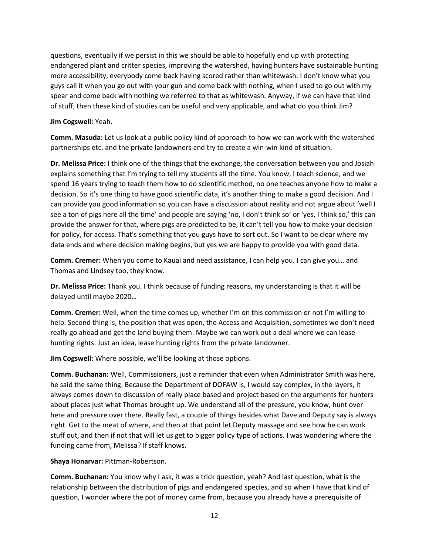questions, eventually if we persist in this we should be able to hopefully end up with protecting endangered plant and critter species, improving the watershed, having hunters have sustainable hunting more accessibility, everybody come back having scored rather than whitewash. I don't know what you guys call it when you go out with your gun and come back with nothing, when I used to go out with my spear and come back with nothing we referred to that as whitewash. Anyway, if we can have that kind of stuff, then these kind of studies can be useful and very applicable, and what do you think Jim?

## **Jim Cogswell:** Yeah.

**Comm. Masuda:** Let us look at a public policy kind of approach to how we can work with the watershed partnerships etc. and the private landowners and try to create a win-win kind of situation.

**Dr. Melissa Price:** I think one of the things that the exchange, the conversation between you and Josiah explains something that I'm trying to tell my students all the time. You know, I teach science, and we spend 16 years trying to teach them how to do scientific method, no one teaches anyone how to make a decision. So it's one thing to have good scientific data, it's another thing to make a good decision. And I can provide you good information so you can have a discussion about reality and not argue about 'well I see a ton of pigs here all the time' and people are saying 'no, I don't think so' or 'yes, I think so,' this can provide the answer for that, where pigs are predicted to be, it can't tell you how to make your decision for policy, for access. That's something that you guys have to sort out. So I want to be clear where my data ends and where decision making begins, but yes we are happy to provide you with good data.

**Comm. Cremer:** When you come to Kauai and need assistance, I can help you. I can give you… and Thomas and Lindsey too, they know.

**Dr. Melissa Price:** Thank you. I think because of funding reasons, my understanding is that it will be delayed until maybe 2020…

**Comm. Cremer:** Well, when the time comes up, whether I'm on this commission or not I'm willing to help. Second thing is, the position that was open, the Access and Acquisition, sometimes we don't need really go ahead and get the land buying them. Maybe we can work out a deal where we can lease hunting rights. Just an idea, lease hunting rights from the private landowner.

**Jim Cogswell:** Where possible, we'll be looking at those options.

**Comm. Buchanan:** Well, Commissioners, just a reminder that even when Administrator Smith was here, he said the same thing. Because the Department of DOFAW is, I would say complex, in the layers, it always comes down to discussion of really place based and project based on the arguments for hunters about places just what Thomas brought up. We understand all of the pressure, you know, hunt over here and pressure over there. Really fast, a couple of things besides what Dave and Deputy say is always right. Get to the meat of where, and then at that point let Deputy massage and see how he can work stuff out, and then if not that will let us get to bigger policy type of actions. I was wondering where the funding came from, Melissa? If staff knows.

## **Shaya Honarvar:** Pittman-Robertson.

**Comm. Buchanan:** You know why I ask, it was a trick question, yeah? And last question, what is the relationship between the distribution of pigs and endangered species, and so when I have that kind of question, I wonder where the pot of money came from, because you already have a prerequisite of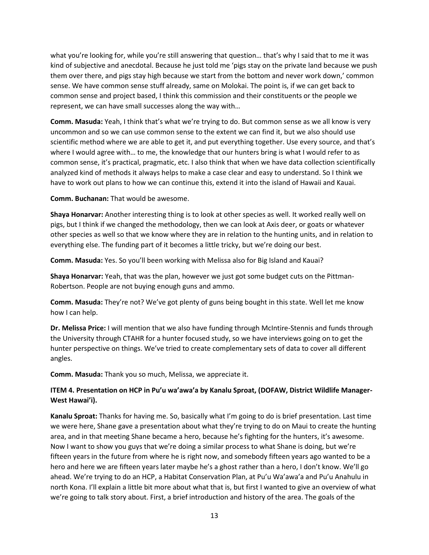what you're looking for, while you're still answering that question… that's why I said that to me it was kind of subjective and anecdotal. Because he just told me 'pigs stay on the private land because we push them over there, and pigs stay high because we start from the bottom and never work down,' common sense. We have common sense stuff already, same on Molokai. The point is, if we can get back to common sense and project based, I think this commission and their constituents or the people we represent, we can have small successes along the way with…

**Comm. Masuda:** Yeah, I think that's what we're trying to do. But common sense as we all know is very uncommon and so we can use common sense to the extent we can find it, but we also should use scientific method where we are able to get it, and put everything together. Use every source, and that's where I would agree with… to me, the knowledge that our hunters bring is what I would refer to as common sense, it's practical, pragmatic, etc. I also think that when we have data collection scientifically analyzed kind of methods it always helps to make a case clear and easy to understand. So I think we have to work out plans to how we can continue this, extend it into the island of Hawaii and Kauai.

**Comm. Buchanan:** That would be awesome.

**Shaya Honarvar:** Another interesting thing is to look at other species as well. It worked really well on pigs, but I think if we changed the methodology, then we can look at Axis deer, or goats or whatever other species as well so that we know where they are in relation to the hunting units, and in relation to everything else. The funding part of it becomes a little tricky, but we're doing our best.

**Comm. Masuda:** Yes. So you'll been working with Melissa also for Big Island and Kauai?

**Shaya Honarvar:** Yeah, that was the plan, however we just got some budget cuts on the Pittman-Robertson. People are not buying enough guns and ammo.

**Comm. Masuda:** They're not? We've got plenty of guns being bought in this state. Well let me know how I can help.

**Dr. Melissa Price:** I will mention that we also have funding through McIntire-Stennis and funds through the University through CTAHR for a hunter focused study, so we have interviews going on to get the hunter perspective on things. We've tried to create complementary sets of data to cover all different angles.

**Comm. Masuda:** Thank you so much, Melissa, we appreciate it.

# **ITEM 4. Presentation on HCP in Pu'u wa'awa'a by Kanalu Sproat, (DOFAW, District Wildlife Manager-West Hawai'i).**

**Kanalu Sproat:** Thanks for having me. So, basically what I'm going to do is brief presentation. Last time we were here, Shane gave a presentation about what they're trying to do on Maui to create the hunting area, and in that meeting Shane became a hero, because he's fighting for the hunters, it's awesome. Now I want to show you guys that we're doing a similar process to what Shane is doing, but we're fifteen years in the future from where he is right now, and somebody fifteen years ago wanted to be a hero and here we are fifteen years later maybe he's a ghost rather than a hero, I don't know. We'll go ahead. We're trying to do an HCP, a Habitat Conservation Plan, at Pu'u Wa'awa'a and Pu'u Anahulu in north Kona. I'll explain a little bit more about what that is, but first I wanted to give an overview of what we're going to talk story about. First, a brief introduction and history of the area. The goals of the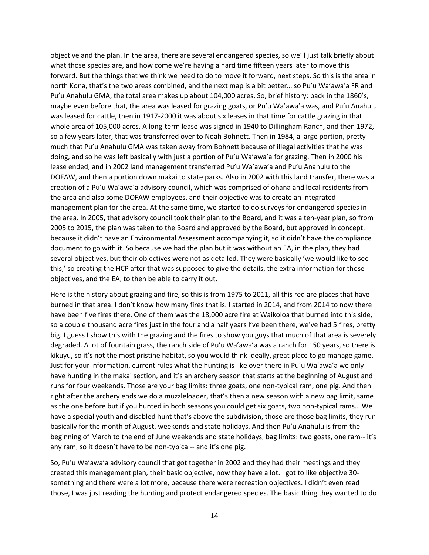objective and the plan. In the area, there are several endangered species, so we'll just talk briefly about what those species are, and how come we're having a hard time fifteen years later to move this forward. But the things that we think we need to do to move it forward, next steps. So this is the area in north Kona, that's the two areas combined, and the next map is a bit better… so Pu'u Wa'awa'a FR and Pu'u Anahulu GMA, the total area makes up about 104,000 acres. So, brief history: back in the 1860's, maybe even before that, the area was leased for grazing goats, or Pu'u Wa'awa'a was, and Pu'u Anahulu was leased for cattle, then in 1917-2000 it was about six leases in that time for cattle grazing in that whole area of 105,000 acres. A long-term lease was signed in 1940 to Dillingham Ranch, and then 1972, so a few years later, that was transferred over to Noah Bohnett. Then in 1984, a large portion, pretty much that Pu'u Anahulu GMA was taken away from Bohnett because of illegal activities that he was doing, and so he was left basically with just a portion of Pu'u Wa'awa'a for grazing. Then in 2000 his lease ended, and in 2002 land management transferred Pu'u Wa'awa'a and Pu'u Anahulu to the DOFAW, and then a portion down makai to state parks. Also in 2002 with this land transfer, there was a creation of a Pu'u Wa'awa'a advisory council, which was comprised of ohana and local residents from the area and also some DOFAW employees, and their objective was to create an integrated management plan for the area. At the same time, we started to do surveys for endangered species in the area. In 2005, that advisory council took their plan to the Board, and it was a ten-year plan, so from 2005 to 2015, the plan was taken to the Board and approved by the Board, but approved in concept, because it didn't have an Environmental Assessment accompanying it, so it didn't have the compliance document to go with it. So because we had the plan but it was without an EA, in the plan, they had several objectives, but their objectives were not as detailed. They were basically 'we would like to see this,' so creating the HCP after that was supposed to give the details, the extra information for those objectives, and the EA, to then be able to carry it out.

Here is the history about grazing and fire, so this is from 1975 to 2011, all this red are places that have burned in that area. I don't know how many fires that is. I started in 2014, and from 2014 to now there have been five fires there. One of them was the 18,000 acre fire at Waikoloa that burned into this side, so a couple thousand acre fires just in the four and a half years I've been there, we've had 5 fires, pretty big. I guess I show this with the grazing and the fires to show you guys that much of that area is severely degraded. A lot of fountain grass, the ranch side of Pu'u Wa'awa'a was a ranch for 150 years, so there is kikuyu, so it's not the most pristine habitat, so you would think ideally, great place to go manage game. Just for your information, current rules what the hunting is like over there in Pu'u Wa'awa'a we only have hunting in the makai section, and it's an archery season that starts at the beginning of August and runs for four weekends. Those are your bag limits: three goats, one non-typical ram, one pig. And then right after the archery ends we do a muzzleloader, that's then a new season with a new bag limit, same as the one before but if you hunted in both seasons you could get six goats, two non-typical rams… We have a special youth and disabled hunt that's above the subdivision, those are those bag limits, they run basically for the month of August, weekends and state holidays. And then Pu'u Anahulu is from the beginning of March to the end of June weekends and state holidays, bag limits: two goats, one ram-- it's any ram, so it doesn't have to be non-typical-- and it's one pig.

So, Pu'u Wa'awa'a advisory council that got together in 2002 and they had their meetings and they created this management plan, their basic objective, now they have a lot. I got to like objective 30 something and there were a lot more, because there were recreation objectives. I didn't even read those, I was just reading the hunting and protect endangered species. The basic thing they wanted to do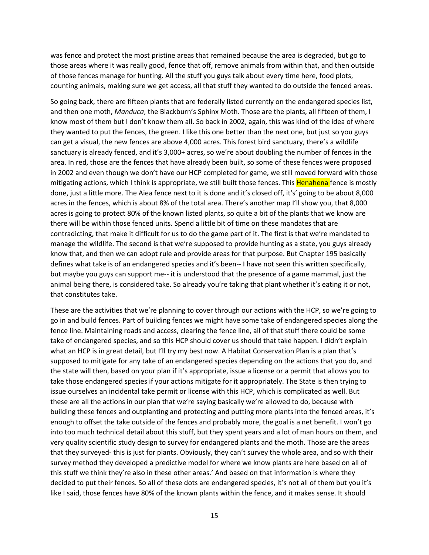was fence and protect the most pristine areas that remained because the area is degraded, but go to those areas where it was really good, fence that off, remove animals from within that, and then outside of those fences manage for hunting. All the stuff you guys talk about every time here, food plots, counting animals, making sure we get access, all that stuff they wanted to do outside the fenced areas.

So going back, there are fifteen plants that are federally listed currently on the endangered species list, and then one moth, *Manduca*, the Blackburn's Sphinx Moth. Those are the plants, all fifteen of them, I know most of them but I don't know them all. So back in 2002, again, this was kind of the idea of where they wanted to put the fences, the green. I like this one better than the next one, but just so you guys can get a visual, the new fences are above 4,000 acres. This forest bird sanctuary, there's a wildlife sanctuary is already fenced, and it's 3,000+ acres, so we're about doubling the number of fences in the area. In red, those are the fences that have already been built, so some of these fences were proposed in 2002 and even though we don't have our HCP completed for game, we still moved forward with those mitigating actions, which I think is appropriate, we still built those fences. This Henahena fence is mostly done, just a little more. The Aiea fence next to it is done and it's closed off, it's' going to be about 8,000 acres in the fences, which is about 8% of the total area. There's another map I'll show you, that 8,000 acres is going to protect 80% of the known listed plants, so quite a bit of the plants that we know are there will be within those fenced units. Spend a little bit of time on these mandates that are contradicting, that make it difficult for us to do the game part of it. The first is that we're mandated to manage the wildlife. The second is that we're supposed to provide hunting as a state, you guys already know that, and then we can adopt rule and provide areas for that purpose. But Chapter 195 basically defines what take is of an endangered species and it's been-- I have not seen this written specifically, but maybe you guys can support me-- it is understood that the presence of a game mammal, just the animal being there, is considered take. So already you're taking that plant whether it's eating it or not, that constitutes take.

These are the activities that we're planning to cover through our actions with the HCP, so we're going to go in and build fences. Part of building fences we might have some take of endangered species along the fence line. Maintaining roads and access, clearing the fence line, all of that stuff there could be some take of endangered species, and so this HCP should cover us should that take happen. I didn't explain what an HCP is in great detail, but I'll try my best now. A Habitat Conservation Plan is a plan that's supposed to mitigate for any take of an endangered species depending on the actions that you do, and the state will then, based on your plan if it's appropriate, issue a license or a permit that allows you to take those endangered species if your actions mitigate for it appropriately. The State is then trying to issue ourselves an incidental take permit or license with this HCP, which is complicated as well. But these are all the actions in our plan that we're saying basically we're allowed to do, because with building these fences and outplanting and protecting and putting more plants into the fenced areas, it's enough to offset the take outside of the fences and probably more, the goal is a net benefit. I won't go into too much technical detail about this stuff, but they spent years and a lot of man hours on them, and very quality scientific study design to survey for endangered plants and the moth. Those are the areas that they surveyed- this is just for plants. Obviously, they can't survey the whole area, and so with their survey method they developed a predictive model for where we know plants are here based on all of this stuff we think they're also in these other areas.' And based on that information is where they decided to put their fences. So all of these dots are endangered species, it's not all of them but you it's like I said, those fences have 80% of the known plants within the fence, and it makes sense. It should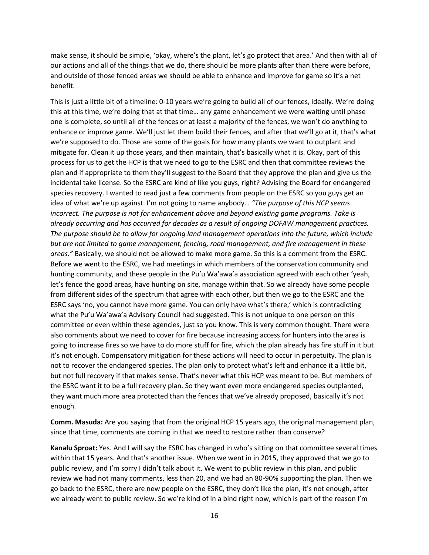make sense, it should be simple, 'okay, where's the plant, let's go protect that area.' And then with all of our actions and all of the things that we do, there should be more plants after than there were before, and outside of those fenced areas we should be able to enhance and improve for game so it's a net benefit.

This is just a little bit of a timeline: 0-10 years we're going to build all of our fences, ideally. We're doing this at this time, we're doing that at that time… any game enhancement we were waiting until phase one is complete, so until all of the fences or at least a majority of the fences, we won't do anything to enhance or improve game. We'll just let them build their fences, and after that we'll go at it, that's what we're supposed to do. Those are some of the goals for how many plants we want to outplant and mitigate for. Clean it up those years, and then maintain, that's basically what it is. Okay, part of this process for us to get the HCP is that we need to go to the ESRC and then that committee reviews the plan and if appropriate to them they'll suggest to the Board that they approve the plan and give us the incidental take license. So the ESRC are kind of like you guys, right? Advising the Board for endangered species recovery. I wanted to read just a few comments from people on the ESRC so you guys get an idea of what we're up against. I'm not going to name anybody… *"The purpose of this HCP seems incorrect. The purpose is not for enhancement above and beyond existing game programs. Take is already occurring and has occurred for decades as a result of ongoing DOFAW management practices. The purpose should be to allow for ongoing land management operations into the future, which include but are not limited to game management, fencing, road management, and fire management in these areas."* Basically, we should not be allowed to make more game. So this is a comment from the ESRC. Before we went to the ESRC, we had meetings in which members of the conservation community and hunting community, and these people in the Pu'u Wa'awa'a association agreed with each other 'yeah, let's fence the good areas, have hunting on site, manage within that. So we already have some people from different sides of the spectrum that agree with each other, but then we go to the ESRC and the ESRC says 'no, you cannot have more game. You can only have what's there,' which is contradicting what the Pu'u Wa'awa'a Advisory Council had suggested. This is not unique to one person on this committee or even within these agencies, just so you know. This is very common thought. There were also comments about we need to cover for fire because increasing access for hunters into the area is going to increase fires so we have to do more stuff for fire, which the plan already has fire stuff in it but it's not enough. Compensatory mitigation for these actions will need to occur in perpetuity. The plan is not to recover the endangered species. The plan only to protect what's left and enhance it a little bit, but not full recovery if that makes sense. That's never what this HCP was meant to be. But members of the ESRC want it to be a full recovery plan. So they want even more endangered species outplanted, they want much more area protected than the fences that we've already proposed, basically it's not enough.

**Comm. Masuda:** Are you saying that from the original HCP 15 years ago, the original management plan, since that time, comments are coming in that we need to restore rather than conserve?

**Kanalu Sproat:** Yes. And I will say the ESRC has changed in who's sitting on that committee several times within that 15 years. And that's another issue. When we went in in 2015, they approved that we go to public review, and I'm sorry I didn't talk about it. We went to public review in this plan, and public review we had not many comments, less than 20, and we had an 80-90% supporting the plan. Then we go back to the ESRC, there are new people on the ESRC, they don't like the plan, it's not enough, after we already went to public review. So we're kind of in a bind right now, which is part of the reason I'm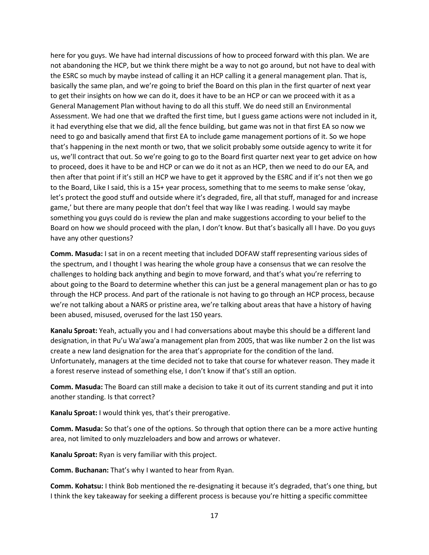here for you guys. We have had internal discussions of how to proceed forward with this plan. We are not abandoning the HCP, but we think there might be a way to not go around, but not have to deal with the ESRC so much by maybe instead of calling it an HCP calling it a general management plan. That is, basically the same plan, and we're going to brief the Board on this plan in the first quarter of next year to get their insights on how we can do it, does it have to be an HCP or can we proceed with it as a General Management Plan without having to do all this stuff. We do need still an Environmental Assessment. We had one that we drafted the first time, but I guess game actions were not included in it, it had everything else that we did, all the fence building, but game was not in that first EA so now we need to go and basically amend that first EA to include game management portions of it. So we hope that's happening in the next month or two, that we solicit probably some outside agency to write it for us, we'll contract that out. So we're going to go to the Board first quarter next year to get advice on how to proceed, does it have to be and HCP or can we do it not as an HCP, then we need to do our EA, and then after that point if it's still an HCP we have to get it approved by the ESRC and if it's not then we go to the Board, Like I said, this is a 15+ year process, something that to me seems to make sense 'okay, let's protect the good stuff and outside where it's degraded, fire, all that stuff, managed for and increase game,' but there are many people that don't feel that way like I was reading. I would say maybe something you guys could do is review the plan and make suggestions according to your belief to the Board on how we should proceed with the plan, I don't know. But that's basically all I have. Do you guys have any other questions?

**Comm. Masuda:** I sat in on a recent meeting that included DOFAW staff representing various sides of the spectrum, and I thought I was hearing the whole group have a consensus that we can resolve the challenges to holding back anything and begin to move forward, and that's what you're referring to about going to the Board to determine whether this can just be a general management plan or has to go through the HCP process. And part of the rationale is not having to go through an HCP process, because we're not talking about a NARS or pristine area, we're talking about areas that have a history of having been abused, misused, overused for the last 150 years.

**Kanalu Sproat:** Yeah, actually you and I had conversations about maybe this should be a different land designation, in that Pu'u Wa'awa'a management plan from 2005, that was like number 2 on the list was create a new land designation for the area that's appropriate for the condition of the land. Unfortunately, managers at the time decided not to take that course for whatever reason. They made it a forest reserve instead of something else, I don't know if that's still an option.

**Comm. Masuda:** The Board can still make a decision to take it out of its current standing and put it into another standing. Is that correct?

**Kanalu Sproat:** I would think yes, that's their prerogative.

**Comm. Masuda:** So that's one of the options. So through that option there can be a more active hunting area, not limited to only muzzleloaders and bow and arrows or whatever.

**Kanalu Sproat:** Ryan is very familiar with this project.

**Comm. Buchanan:** That's why I wanted to hear from Ryan.

**Comm. Kohatsu:** I think Bob mentioned the re-designating it because it's degraded, that's one thing, but I think the key takeaway for seeking a different process is because you're hitting a specific committee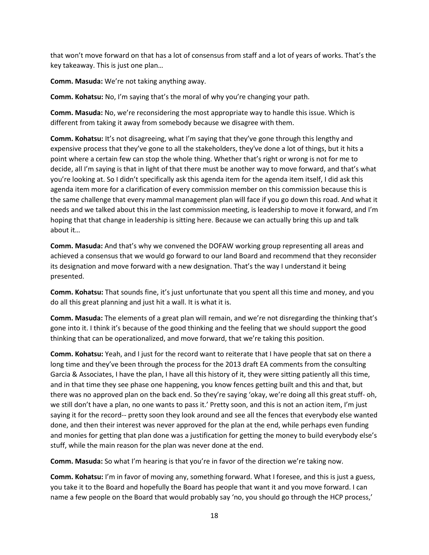that won't move forward on that has a lot of consensus from staff and a lot of years of works. That's the key takeaway. This is just one plan…

**Comm. Masuda:** We're not taking anything away.

**Comm. Kohatsu:** No, I'm saying that's the moral of why you're changing your path.

**Comm. Masuda:** No, we're reconsidering the most appropriate way to handle this issue. Which is different from taking it away from somebody because we disagree with them.

**Comm. Kohatsu:** It's not disagreeing, what I'm saying that they've gone through this lengthy and expensive process that they've gone to all the stakeholders, they've done a lot of things, but it hits a point where a certain few can stop the whole thing. Whether that's right or wrong is not for me to decide, all I'm saying is that in light of that there must be another way to move forward, and that's what you're looking at. So I didn't specifically ask this agenda item for the agenda item itself, I did ask this agenda item more for a clarification of every commission member on this commission because this is the same challenge that every mammal management plan will face if you go down this road. And what it needs and we talked about this in the last commission meeting, is leadership to move it forward, and I'm hoping that that change in leadership is sitting here. Because we can actually bring this up and talk about it…

**Comm. Masuda:** And that's why we convened the DOFAW working group representing all areas and achieved a consensus that we would go forward to our land Board and recommend that they reconsider its designation and move forward with a new designation. That's the way I understand it being presented.

**Comm. Kohatsu:** That sounds fine, it's just unfortunate that you spent all this time and money, and you do all this great planning and just hit a wall. It is what it is.

**Comm. Masuda:** The elements of a great plan will remain, and we're not disregarding the thinking that's gone into it. I think it's because of the good thinking and the feeling that we should support the good thinking that can be operationalized, and move forward, that we're taking this position.

**Comm. Kohatsu:** Yeah, and I just for the record want to reiterate that I have people that sat on there a long time and they've been through the process for the 2013 draft EA comments from the consulting Garcia & Associates, I have the plan, I have all this history of it, they were sitting patiently all this time, and in that time they see phase one happening, you know fences getting built and this and that, but there was no approved plan on the back end. So they're saying 'okay, we're doing all this great stuff- oh, we still don't have a plan, no one wants to pass it.' Pretty soon, and this is not an action item, I'm just saying it for the record-- pretty soon they look around and see all the fences that everybody else wanted done, and then their interest was never approved for the plan at the end, while perhaps even funding and monies for getting that plan done was a justification for getting the money to build everybody else's stuff, while the main reason for the plan was never done at the end.

**Comm. Masuda:** So what I'm hearing is that you're in favor of the direction we're taking now.

**Comm. Kohatsu:** I'm in favor of moving any, something forward. What I foresee, and this is just a guess, you take it to the Board and hopefully the Board has people that want it and you move forward. I can name a few people on the Board that would probably say 'no, you should go through the HCP process,'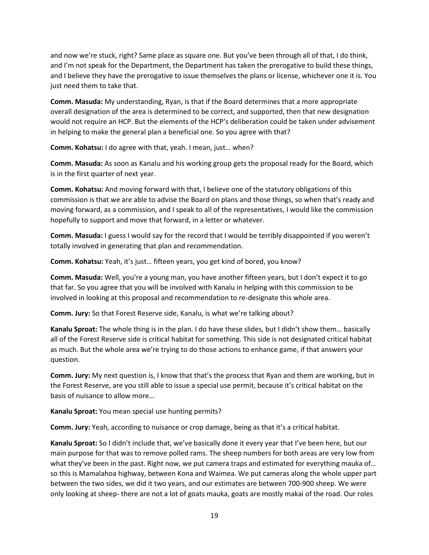and now we're stuck, right? Same place as square one. But you've been through all of that, I do think, and I'm not speak for the Department, the Department has taken the prerogative to build these things, and I believe they have the prerogative to issue themselves the plans or license, whichever one it is. You just need them to take that.

**Comm. Masuda:** My understanding, Ryan, is that if the Board determines that a more appropriate overall designation of the area is determined to be correct, and supported, then that new designation would not require an HCP. But the elements of the HCP's deliberation could be taken under advisement in helping to make the general plan a beneficial one. So you agree with that?

**Comm. Kohatsu:** I do agree with that, yeah. I mean, just… when?

**Comm. Masuda:** As soon as Kanalu and his working group gets the proposal ready for the Board, which is in the first quarter of next year.

**Comm. Kohatsu:** And moving forward with that, I believe one of the statutory obligations of this commission is that we are able to advise the Board on plans and those things, so when that's ready and moving forward, as a commission, and I speak to all of the representatives, I would like the commission hopefully to support and move that forward, in a letter or whatever.

**Comm. Masuda:** I guess I would say for the record that I would be terribly disappointed if you weren't totally involved in generating that plan and recommendation.

**Comm. Kohatsu:** Yeah, it's just… fifteen years, you get kind of bored, you know?

**Comm. Masuda:** Well, you're a young man, you have another fifteen years, but I don't expect it to go that far. So you agree that you will be involved with Kanalu in helping with this commission to be involved in looking at this proposal and recommendation to re-designate this whole area.

**Comm. Jury:** So that Forest Reserve side, Kanalu, is what we're talking about?

**Kanalu Sproat:** The whole thing is in the plan. I do have these slides, but I didn't show them… basically all of the Forest Reserve side is critical habitat for something. This side is not designated critical habitat as much. But the whole area we're trying to do those actions to enhance game, if that answers your question.

**Comm. Jury:** My next question is, I know that that's the process that Ryan and them are working, but in the Forest Reserve, are you still able to issue a special use permit, because it's critical habitat on the basis of nuisance to allow more…

**Kanalu Sproat:** You mean special use hunting permits?

**Comm. Jury:** Yeah, according to nuisance or crop damage, being as that it's a critical habitat.

**Kanalu Sproat:** So I didn't include that, we've basically done it every year that I've been here, but our main purpose for that was to remove polled rams. The sheep numbers for both areas are very low from what they've been in the past. Right now, we put camera traps and estimated for everything mauka of... so this is Mamalahoa highway, between Kona and Waimea. We put cameras along the whole upper part between the two sides, we did it two years, and our estimates are between 700-900 sheep. We were only looking at sheep- there are not a lot of goats mauka, goats are mostly makai of the road. Our roles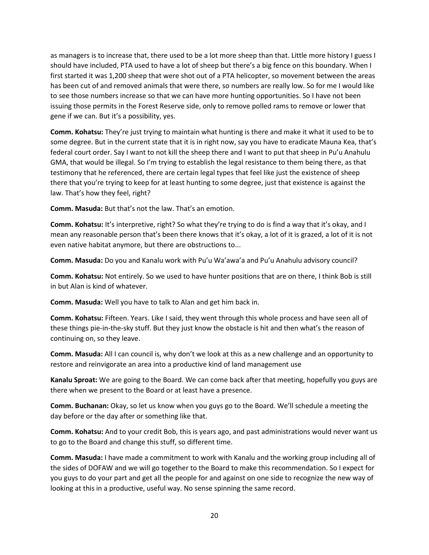as managers is to increase that, there used to be a lot more sheep than that. Little more history I guess I should have included, PTA used to have a lot of sheep but there's a big fence on this boundary. When I first started it was 1,200 sheep that were shot out of a PTA helicopter, so movement between the areas has been cut of and removed animals that were there, so numbers are really low. So for me I would like to see those numbers increase so that we can have more hunting opportunities. So I have not been issuing those permits in the Forest Reserve side, only to remove polled rams to remove or lower that gene if we can. But it's a possibility, yes.

**Comm. Kohatsu:** They're just trying to maintain what hunting is there and make it what it used to be to some degree. But in the current state that it is in right now, say you have to eradicate Mauna Kea, that's federal court order. Say I want to not kill the sheep there and I want to put that sheep in Pu'u Anahulu GMA, that would be illegal. So I'm trying to establish the legal resistance to them being there, as that testimony that he referenced, there are certain legal types that feel like just the existence of sheep there that you're trying to keep for at least hunting to some degree, just that existence is against the law. That's how they feel, right?

**Comm. Masuda:** But that's not the law. That's an emotion.

**Comm. Kohatsu:** It's interpretive, right? So what they're trying to do is find a way that it's okay, and I mean any reasonable person that's been there knows that it's okay, a lot of it is grazed, a lot of it is not even native habitat anymore, but there are obstructions to...

**Comm. Masuda:** Do you and Kanalu work with Pu'u Wa'awa'a and Pu'u Anahulu advisory council?

**Comm. Kohatsu:** Not entirely. So we used to have hunter positions that are on there, I think Bob is still in but Alan is kind of whatever.

**Comm. Masuda:** Well you have to talk to Alan and get him back in.

**Comm. Kohatsu:** Fifteen. Years. Like I said, they went through this whole process and have seen all of these things pie-in-the-sky stuff. But they just know the obstacle is hit and then what's the reason of continuing on, so they leave.

**Comm. Masuda:** All I can council is, why don't we look at this as a new challenge and an opportunity to restore and reinvigorate an area into a productive kind of land management use

**Kanalu Sproat:** We are going to the Board. We can come back after that meeting, hopefully you guys are there when we present to the Board or at least have a presence.

**Comm. Buchanan:** Okay, so let us know when you guys go to the Board. We'll schedule a meeting the day before or the day after or something like that.

**Comm. Kohatsu:** And to your credit Bob, this is years ago, and past administrations would never want us to go to the Board and change this stuff, so different time.

**Comm. Masuda:** I have made a commitment to work with Kanalu and the working group including all of the sides of DOFAW and we will go together to the Board to make this recommendation. So I expect for you guys to do your part and get all the people for and against on one side to recognize the new way of looking at this in a productive, useful way. No sense spinning the same record.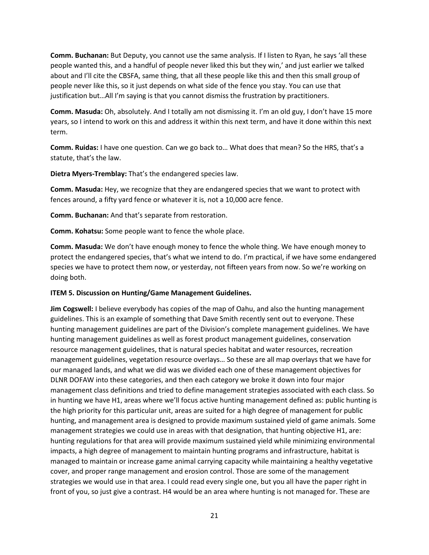**Comm. Buchanan:** But Deputy, you cannot use the same analysis. If I listen to Ryan, he says 'all these people wanted this, and a handful of people never liked this but they win,' and just earlier we talked about and I'll cite the CBSFA, same thing, that all these people like this and then this small group of people never like this, so it just depends on what side of the fence you stay. You can use that justification but…All I'm saying is that you cannot dismiss the frustration by practitioners.

**Comm. Masuda:** Oh, absolutely. And I totally am not dismissing it. I'm an old guy, I don't have 15 more years, so I intend to work on this and address it within this next term, and have it done within this next term.

**Comm. Ruidas:** I have one question. Can we go back to… What does that mean? So the HRS, that's a statute, that's the law.

**Dietra Myers-Tremblay:** That's the endangered species law.

**Comm. Masuda:** Hey, we recognize that they are endangered species that we want to protect with fences around, a fifty yard fence or whatever it is, not a 10,000 acre fence.

**Comm. Buchanan:** And that's separate from restoration.

**Comm. Kohatsu:** Some people want to fence the whole place.

**Comm. Masuda:** We don't have enough money to fence the whole thing. We have enough money to protect the endangered species, that's what we intend to do. I'm practical, if we have some endangered species we have to protect them now, or yesterday, not fifteen years from now. So we're working on doing both.

### **ITEM 5. Discussion on Hunting/Game Management Guidelines.**

**Jim Cogswell:** I believe everybody has copies of the map of Oahu, and also the hunting management guidelines. This is an example of something that Dave Smith recently sent out to everyone. These hunting management guidelines are part of the Division's complete management guidelines. We have hunting management guidelines as well as forest product management guidelines, conservation resource management guidelines, that is natural species habitat and water resources, recreation management guidelines, vegetation resource overlays… So these are all map overlays that we have for our managed lands, and what we did was we divided each one of these management objectives for DLNR DOFAW into these categories, and then each category we broke it down into four major management class definitions and tried to define management strategies associated with each class. So in hunting we have H1, areas where we'll focus active hunting management defined as: public hunting is the high priority for this particular unit, areas are suited for a high degree of management for public hunting, and management area is designed to provide maximum sustained yield of game animals. Some management strategies we could use in areas with that designation, that hunting objective H1, are: hunting regulations for that area will provide maximum sustained yield while minimizing environmental impacts, a high degree of management to maintain hunting programs and infrastructure, habitat is managed to maintain or increase game animal carrying capacity while maintaining a healthy vegetative cover, and proper range management and erosion control. Those are some of the management strategies we would use in that area. I could read every single one, but you all have the paper right in front of you, so just give a contrast. H4 would be an area where hunting is not managed for. These are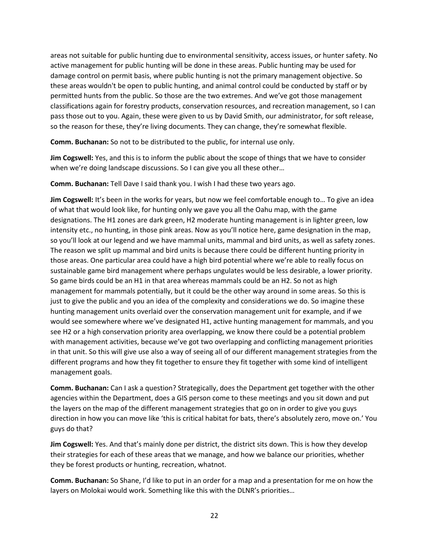areas not suitable for public hunting due to environmental sensitivity, access issues, or hunter safety. No active management for public hunting will be done in these areas. Public hunting may be used for damage control on permit basis, where public hunting is not the primary management objective. So these areas wouldn't be open to public hunting, and animal control could be conducted by staff or by permitted hunts from the public. So those are the two extremes. And we've got those management classifications again for forestry products, conservation resources, and recreation management, so I can pass those out to you. Again, these were given to us by David Smith, our administrator, for soft release, so the reason for these, they're living documents. They can change, they're somewhat flexible.

**Comm. Buchanan:** So not to be distributed to the public, for internal use only.

**Jim Cogswell:** Yes, and this is to inform the public about the scope of things that we have to consider when we're doing landscape discussions. So I can give you all these other…

**Comm. Buchanan:** Tell Dave I said thank you. I wish I had these two years ago.

**Jim Cogswell:** It's been in the works for years, but now we feel comfortable enough to… To give an idea of what that would look like, for hunting only we gave you all the Oahu map, with the game designations. The H1 zones are dark green, H2 moderate hunting management is in lighter green, low intensity etc., no hunting, in those pink areas. Now as you'll notice here, game designation in the map, so you'll look at our legend and we have mammal units, mammal and bird units, as well as safety zones. The reason we split up mammal and bird units is because there could be different hunting priority in those areas. One particular area could have a high bird potential where we're able to really focus on sustainable game bird management where perhaps ungulates would be less desirable, a lower priority. So game birds could be an H1 in that area whereas mammals could be an H2. So not as high management for mammals potentially, but it could be the other way around in some areas. So this is just to give the public and you an idea of the complexity and considerations we do. So imagine these hunting management units overlaid over the conservation management unit for example, and if we would see somewhere where we've designated H1, active hunting management for mammals, and you see H2 or a high conservation priority area overlapping, we know there could be a potential problem with management activities, because we've got two overlapping and conflicting management priorities in that unit. So this will give use also a way of seeing all of our different management strategies from the different programs and how they fit together to ensure they fit together with some kind of intelligent management goals.

**Comm. Buchanan:** Can I ask a question? Strategically, does the Department get together with the other agencies within the Department, does a GIS person come to these meetings and you sit down and put the layers on the map of the different management strategies that go on in order to give you guys direction in how you can move like 'this is critical habitat for bats, there's absolutely zero, move on.' You guys do that?

**Jim Cogswell:** Yes. And that's mainly done per district, the district sits down. This is how they develop their strategies for each of these areas that we manage, and how we balance our priorities, whether they be forest products or hunting, recreation, whatnot.

**Comm. Buchanan:** So Shane, I'd like to put in an order for a map and a presentation for me on how the layers on Molokai would work. Something like this with the DLNR's priorities…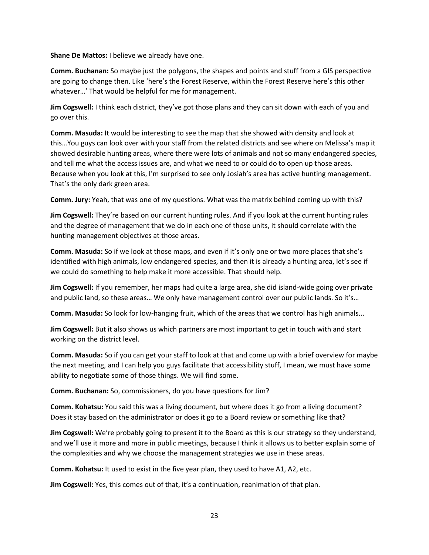**Shane De Mattos: I believe we already have one.** 

**Comm. Buchanan:** So maybe just the polygons, the shapes and points and stuff from a GIS perspective are going to change then. Like 'here's the Forest Reserve, within the Forest Reserve here's this other whatever…' That would be helpful for me for management.

**Jim Cogswell:** I think each district, they've got those plans and they can sit down with each of you and go over this.

**Comm. Masuda:** It would be interesting to see the map that she showed with density and look at this…You guys can look over with your staff from the related districts and see where on Melissa's map it showed desirable hunting areas, where there were lots of animals and not so many endangered species, and tell me what the access issues are, and what we need to or could do to open up those areas. Because when you look at this, I'm surprised to see only Josiah's area has active hunting management. That's the only dark green area.

**Comm. Jury:** Yeah, that was one of my questions. What was the matrix behind coming up with this?

**Jim Cogswell:** They're based on our current hunting rules. And if you look at the current hunting rules and the degree of management that we do in each one of those units, it should correlate with the hunting management objectives at those areas.

**Comm. Masuda:** So if we look at those maps, and even if it's only one or two more places that she's identified with high animals, low endangered species, and then it is already a hunting area, let's see if we could do something to help make it more accessible. That should help.

**Jim Cogswell:** If you remember, her maps had quite a large area, she did island-wide going over private and public land, so these areas… We only have management control over our public lands. So it's…

**Comm. Masuda:** So look for low-hanging fruit, which of the areas that we control has high animals...

**Jim Cogswell:** But it also shows us which partners are most important to get in touch with and start working on the district level.

**Comm. Masuda:** So if you can get your staff to look at that and come up with a brief overview for maybe the next meeting, and I can help you guys facilitate that accessibility stuff, I mean, we must have some ability to negotiate some of those things. We will find some.

**Comm. Buchanan:** So, commissioners, do you have questions for Jim?

**Comm. Kohatsu:** You said this was a living document, but where does it go from a living document? Does it stay based on the administrator or does it go to a Board review or something like that?

**Jim Cogswell:** We're probably going to present it to the Board as this is our strategy so they understand, and we'll use it more and more in public meetings, because I think it allows us to better explain some of the complexities and why we choose the management strategies we use in these areas.

**Comm. Kohatsu:** It used to exist in the five year plan, they used to have A1, A2, etc.

**Jim Cogswell:** Yes, this comes out of that, it's a continuation, reanimation of that plan.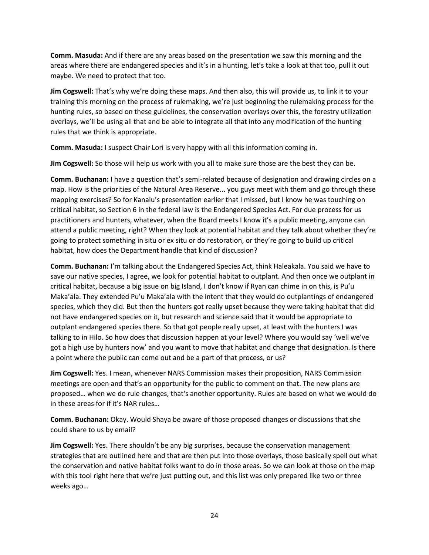**Comm. Masuda:** And if there are any areas based on the presentation we saw this morning and the areas where there are endangered species and it's in a hunting, let's take a look at that too, pull it out maybe. We need to protect that too.

**Jim Cogswell:** That's why we're doing these maps. And then also, this will provide us, to link it to your training this morning on the process of rulemaking, we're just beginning the rulemaking process for the hunting rules, so based on these guidelines, the conservation overlays over this, the forestry utilization overlays, we'll be using all that and be able to integrate all that into any modification of the hunting rules that we think is appropriate.

**Comm. Masuda:** I suspect Chair Lori is very happy with all this information coming in.

**Jim Cogswell:** So those will help us work with you all to make sure those are the best they can be.

**Comm. Buchanan:** I have a question that's semi-related because of designation and drawing circles on a map. How is the priorities of the Natural Area Reserve... you guys meet with them and go through these mapping exercises? So for Kanalu's presentation earlier that I missed, but I know he was touching on critical habitat, so Section 6 in the federal law is the Endangered Species Act. For due process for us practitioners and hunters, whatever, when the Board meets I know it's a public meeting, anyone can attend a public meeting, right? When they look at potential habitat and they talk about whether they're going to protect something in situ or ex situ or do restoration, or they're going to build up critical habitat, how does the Department handle that kind of discussion?

**Comm. Buchanan:** I'm talking about the Endangered Species Act, think Haleakala. You said we have to save our native species, I agree, we look for potential habitat to outplant. And then once we outplant in critical habitat, because a big issue on big Island, I don't know if Ryan can chime in on this, is Pu'u Maka'ala. They extended Pu'u Maka'ala with the intent that they would do outplantings of endangered species, which they did. But then the hunters got really upset because they were taking habitat that did not have endangered species on it, but research and science said that it would be appropriate to outplant endangered species there. So that got people really upset, at least with the hunters I was talking to in Hilo. So how does that discussion happen at your level? Where you would say 'well we've got a high use by hunters now' and you want to move that habitat and change that designation. Is there a point where the public can come out and be a part of that process, or us?

**Jim Cogswell:** Yes. I mean, whenever NARS Commission makes their proposition, NARS Commission meetings are open and that's an opportunity for the public to comment on that. The new plans are proposed… when we do rule changes, that's another opportunity. Rules are based on what we would do in these areas for if it's NAR rules…

**Comm. Buchanan:** Okay. Would Shaya be aware of those proposed changes or discussions that she could share to us by email?

**Jim Cogswell:** Yes. There shouldn't be any big surprises, because the conservation management strategies that are outlined here and that are then put into those overlays, those basically spell out what the conservation and native habitat folks want to do in those areas. So we can look at those on the map with this tool right here that we're just putting out, and this list was only prepared like two or three weeks ago…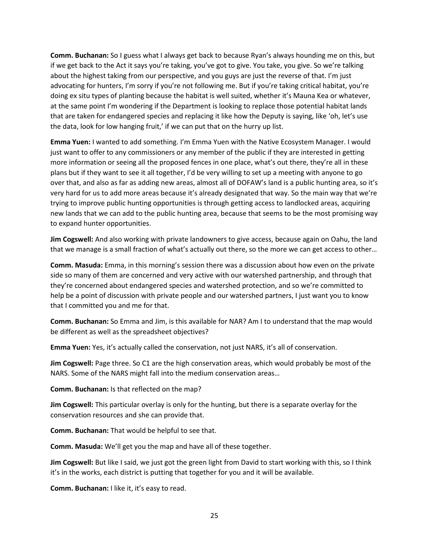**Comm. Buchanan:** So I guess what I always get back to because Ryan's always hounding me on this, but if we get back to the Act it says you're taking, you've got to give. You take, you give. So we're talking about the highest taking from our perspective, and you guys are just the reverse of that. I'm just advocating for hunters, I'm sorry if you're not following me. But if you're taking critical habitat, you're doing ex situ types of planting because the habitat is well suited, whether it's Mauna Kea or whatever, at the same point I'm wondering if the Department is looking to replace those potential habitat lands that are taken for endangered species and replacing it like how the Deputy is saying, like 'oh, let's use the data, look for low hanging fruit,' if we can put that on the hurry up list.

**Emma Yuen:** I wanted to add something. I'm Emma Yuen with the Native Ecosystem Manager. I would just want to offer to any commissioners or any member of the public if they are interested in getting more information or seeing all the proposed fences in one place, what's out there, they're all in these plans but if they want to see it all together, I'd be very willing to set up a meeting with anyone to go over that, and also as far as adding new areas, almost all of DOFAW's land is a public hunting area, so it's very hard for us to add more areas because it's already designated that way. So the main way that we're trying to improve public hunting opportunities is through getting access to landlocked areas, acquiring new lands that we can add to the public hunting area, because that seems to be the most promising way to expand hunter opportunities.

**Jim Cogswell:** And also working with private landowners to give access, because again on Oahu, the land that we manage is a small fraction of what's actually out there, so the more we can get access to other…

**Comm. Masuda:** Emma, in this morning's session there was a discussion about how even on the private side so many of them are concerned and very active with our watershed partnership, and through that they're concerned about endangered species and watershed protection, and so we're committed to help be a point of discussion with private people and our watershed partners, I just want you to know that I committed you and me for that.

**Comm. Buchanan:** So Emma and Jim, is this available for NAR? Am I to understand that the map would be different as well as the spreadsheet objectives?

**Emma Yuen:** Yes, it's actually called the conservation, not just NARS, it's all of conservation.

**Jim Cogswell:** Page three. So C1 are the high conservation areas, which would probably be most of the NARS. Some of the NARS might fall into the medium conservation areas…

**Comm. Buchanan:** Is that reflected on the map?

**Jim Cogswell:** This particular overlay is only for the hunting, but there is a separate overlay for the conservation resources and she can provide that.

**Comm. Buchanan:** That would be helpful to see that.

**Comm. Masuda:** We'll get you the map and have all of these together.

**Jim Cogswell:** But like I said, we just got the green light from David to start working with this, so I think it's in the works, each district is putting that together for you and it will be available.

**Comm. Buchanan:** I like it, it's easy to read.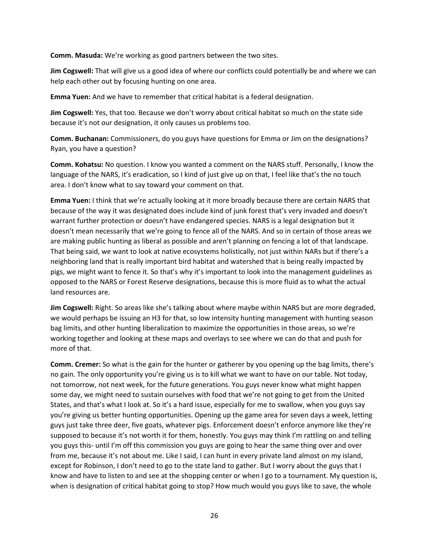**Comm. Masuda:** We're working as good partners between the two sites.

**Jim Cogswell:** That will give us a good idea of where our conflicts could potentially be and where we can help each other out by focusing hunting on one area.

**Emma Yuen:** And we have to remember that critical habitat is a federal designation.

**Jim Cogswell:** Yes, that too. Because we don't worry about critical habitat so much on the state side because it's not our designation, it only causes us problems too.

**Comm. Buchanan:** Commissioners, do you guys have questions for Emma or Jim on the designations? Ryan, you have a question?

**Comm. Kohatsu:** No question. I know you wanted a comment on the NARS stuff. Personally, I know the language of the NARS, it's eradication, so I kind of just give up on that, I feel like that's the no touch area. I don't know what to say toward your comment on that.

**Emma Yuen:** I think that we're actually looking at it more broadly because there are certain NARS that because of the way it was designated does include kind of junk forest that's very invaded and doesn't warrant further protection or doesn't have endangered species. NARS is a legal designation but it doesn't mean necessarily that we're going to fence all of the NARS. And so in certain of those areas we are making public hunting as liberal as possible and aren't planning on fencing a lot of that landscape. That being said, we want to look at native ecosystems holistically, not just within NARs but if there's a neighboring land that is really important bird habitat and watershed that is being really impacted by pigs, we might want to fence it. So that's why it's important to look into the management guidelines as opposed to the NARS or Forest Reserve designations, because this is more fluid as to what the actual land resources are.

**Jim Cogswell:** Right. So areas like she's talking about where maybe within NARS but are more degraded, we would perhaps be issuing an H3 for that, so low intensity hunting management with hunting season bag limits, and other hunting liberalization to maximize the opportunities in those areas, so we're working together and looking at these maps and overlays to see where we can do that and push for more of that.

**Comm. Cremer:** So what is the gain for the hunter or gatherer by you opening up the bag limits, there's no gain. The only opportunity you're giving us is to kill what we want to have on our table. Not today, not tomorrow, not next week, for the future generations. You guys never know what might happen some day, we might need to sustain ourselves with food that we're not going to get from the United States, and that's what I look at. So it's a hard issue, especially for me to swallow, when you guys say you're giving us better hunting opportunities. Opening up the game area for seven days a week, letting guys just take three deer, five goats, whatever pigs. Enforcement doesn't enforce anymore like they're supposed to because it's not worth it for them, honestly. You guys may think I'm rattling on and telling you guys this- until I'm off this commission you guys are going to hear the same thing over and over from me, because it's not about me. Like I said, I can hunt in every private land almost on my island, except for Robinson, I don't need to go to the state land to gather. But I worry about the guys that I know and have to listen to and see at the shopping center or when I go to a tournament. My question is, when is designation of critical habitat going to stop? How much would you guys like to save, the whole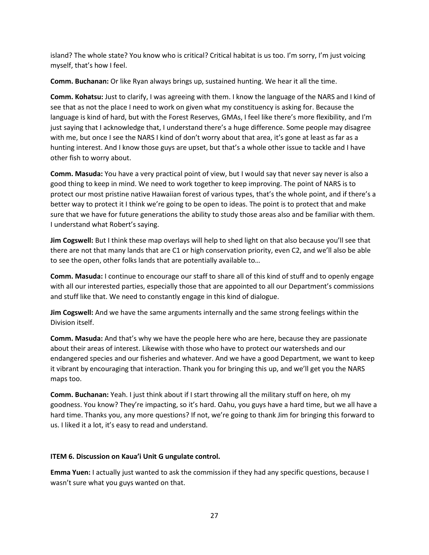island? The whole state? You know who is critical? Critical habitat is us too. I'm sorry, I'm just voicing myself, that's how I feel.

**Comm. Buchanan:** Or like Ryan always brings up, sustained hunting. We hear it all the time.

**Comm. Kohatsu:** Just to clarify, I was agreeing with them. I know the language of the NARS and I kind of see that as not the place I need to work on given what my constituency is asking for. Because the language is kind of hard, but with the Forest Reserves, GMAs, I feel like there's more flexibility, and I'm just saying that I acknowledge that, I understand there's a huge difference. Some people may disagree with me, but once I see the NARS I kind of don't worry about that area, it's gone at least as far as a hunting interest. And I know those guys are upset, but that's a whole other issue to tackle and I have other fish to worry about.

**Comm. Masuda:** You have a very practical point of view, but I would say that never say never is also a good thing to keep in mind. We need to work together to keep improving. The point of NARS is to protect our most pristine native Hawaiian forest of various types, that's the whole point, and if there's a better way to protect it I think we're going to be open to ideas. The point is to protect that and make sure that we have for future generations the ability to study those areas also and be familiar with them. I understand what Robert's saying.

**Jim Cogswell:** But I think these map overlays will help to shed light on that also because you'll see that there are not that many lands that are C1 or high conservation priority, even C2, and we'll also be able to see the open, other folks lands that are potentially available to…

**Comm. Masuda:** I continue to encourage our staff to share all of this kind of stuff and to openly engage with all our interested parties, especially those that are appointed to all our Department's commissions and stuff like that. We need to constantly engage in this kind of dialogue.

**Jim Cogswell:** And we have the same arguments internally and the same strong feelings within the Division itself.

**Comm. Masuda:** And that's why we have the people here who are here, because they are passionate about their areas of interest. Likewise with those who have to protect our watersheds and our endangered species and our fisheries and whatever. And we have a good Department, we want to keep it vibrant by encouraging that interaction. Thank you for bringing this up, and we'll get you the NARS maps too.

**Comm. Buchanan:** Yeah. I just think about if I start throwing all the military stuff on here, oh my goodness. You know? They're impacting, so it's hard. Oahu, you guys have a hard time, but we all have a hard time. Thanks you, any more questions? If not, we're going to thank Jim for bringing this forward to us. I liked it a lot, it's easy to read and understand.

## **ITEM 6. Discussion on Kaua'i Unit G ungulate control.**

**Emma Yuen:** I actually just wanted to ask the commission if they had any specific questions, because I wasn't sure what you guys wanted on that.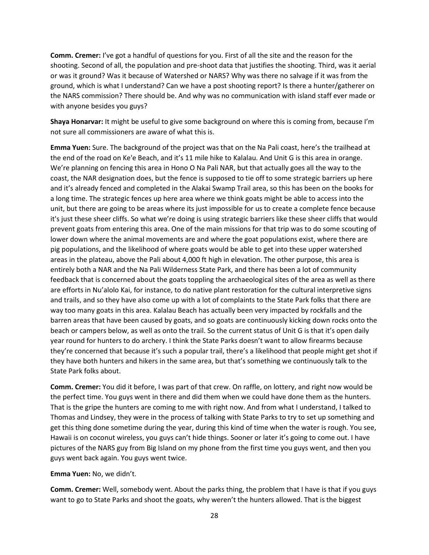**Comm. Cremer:** I've got a handful of questions for you. First of all the site and the reason for the shooting. Second of all, the population and pre-shoot data that justifies the shooting. Third, was it aerial or was it ground? Was it because of Watershed or NARS? Why was there no salvage if it was from the ground, which is what I understand? Can we have a post shooting report? Is there a hunter/gatherer on the NARS commission? There should be. And why was no communication with island staff ever made or with anyone besides you guys?

**Shaya Honarvar:** It might be useful to give some background on where this is coming from, because I'm not sure all commissioners are aware of what this is.

**Emma Yuen:** Sure. The background of the project was that on the Na Pali coast, here's the trailhead at the end of the road on Ke'e Beach, and it's 11 mile hike to Kalalau. And Unit G is this area in orange. We're planning on fencing this area in Hono O Na Pali NAR, but that actually goes all the way to the coast, the NAR designation does, but the fence is supposed to tie off to some strategic barriers up here and it's already fenced and completed in the Alakai Swamp Trail area, so this has been on the books for a long time. The strategic fences up here area where we think goats might be able to access into the unit, but there are going to be areas where its just impossible for us to create a complete fence because it's just these sheer cliffs. So what we're doing is using strategic barriers like these sheer cliffs that would prevent goats from entering this area. One of the main missions for that trip was to do some scouting of lower down where the animal movements are and where the goat populations exist, where there are pig populations, and the likelihood of where goats would be able to get into these upper watershed areas in the plateau, above the Pali about 4,000 ft high in elevation. The other purpose, this area is entirely both a NAR and the Na Pali Wilderness State Park, and there has been a lot of community feedback that is concerned about the goats toppling the archaeological sites of the area as well as there are efforts in Nu'alolo Kai, for instance, to do native plant restoration for the cultural interpretive signs and trails, and so they have also come up with a lot of complaints to the State Park folks that there are way too many goats in this area. Kalalau Beach has actually been very impacted by rockfalls and the barren areas that have been caused by goats, and so goats are continuously kicking down rocks onto the beach or campers below, as well as onto the trail. So the current status of Unit G is that it's open daily year round for hunters to do archery. I think the State Parks doesn't want to allow firearms because they're concerned that because it's such a popular trail, there's a likelihood that people might get shot if they have both hunters and hikers in the same area, but that's something we continuously talk to the State Park folks about.

**Comm. Cremer:** You did it before, I was part of that crew. On raffle, on lottery, and right now would be the perfect time. You guys went in there and did them when we could have done them as the hunters. That is the gripe the hunters are coming to me with right now. And from what I understand, I talked to Thomas and Lindsey, they were in the process of talking with State Parks to try to set up something and get this thing done sometime during the year, during this kind of time when the water is rough. You see, Hawaii is on coconut wireless, you guys can't hide things. Sooner or later it's going to come out. I have pictures of the NARS guy from Big Island on my phone from the first time you guys went, and then you guys went back again. You guys went twice.

### **Emma Yuen:** No, we didn't.

**Comm. Cremer:** Well, somebody went. About the parks thing, the problem that I have is that if you guys want to go to State Parks and shoot the goats, why weren't the hunters allowed. That is the biggest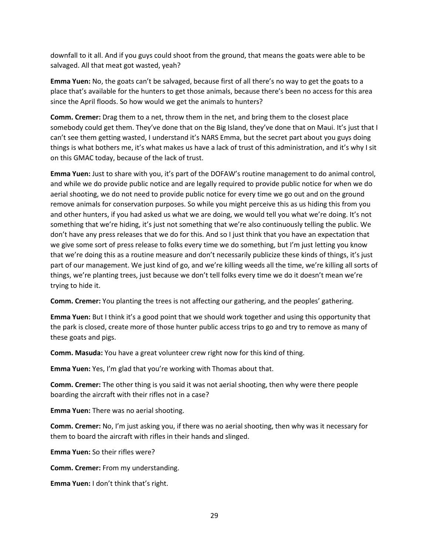downfall to it all. And if you guys could shoot from the ground, that means the goats were able to be salvaged. All that meat got wasted, yeah?

**Emma Yuen:** No, the goats can't be salvaged, because first of all there's no way to get the goats to a place that's available for the hunters to get those animals, because there's been no access for this area since the April floods. So how would we get the animals to hunters?

**Comm. Cremer:** Drag them to a net, throw them in the net, and bring them to the closest place somebody could get them. They've done that on the Big Island, they've done that on Maui. It's just that I can't see them getting wasted, I understand it's NARS Emma, but the secret part about you guys doing things is what bothers me, it's what makes us have a lack of trust of this administration, and it's why I sit on this GMAC today, because of the lack of trust.

**Emma Yuen:** Just to share with you, it's part of the DOFAW's routine management to do animal control, and while we do provide public notice and are legally required to provide public notice for when we do aerial shooting, we do not need to provide public notice for every time we go out and on the ground remove animals for conservation purposes. So while you might perceive this as us hiding this from you and other hunters, if you had asked us what we are doing, we would tell you what we're doing. It's not something that we're hiding, it's just not something that we're also continuously telling the public. We don't have any press releases that we do for this. And so I just think that you have an expectation that we give some sort of press release to folks every time we do something, but I'm just letting you know that we're doing this as a routine measure and don't necessarily publicize these kinds of things, it's just part of our management. We just kind of go, and we're killing weeds all the time, we're killing all sorts of things, we're planting trees, just because we don't tell folks every time we do it doesn't mean we're trying to hide it.

**Comm. Cremer:** You planting the trees is not affecting our gathering, and the peoples' gathering.

**Emma Yuen:** But I think it's a good point that we should work together and using this opportunity that the park is closed, create more of those hunter public access trips to go and try to remove as many of these goats and pigs.

**Comm. Masuda:** You have a great volunteer crew right now for this kind of thing.

**Emma Yuen:** Yes, I'm glad that you're working with Thomas about that.

**Comm. Cremer:** The other thing is you said it was not aerial shooting, then why were there people boarding the aircraft with their rifles not in a case?

**Emma Yuen:** There was no aerial shooting.

**Comm. Cremer:** No, I'm just asking you, if there was no aerial shooting, then why was it necessary for them to board the aircraft with rifles in their hands and slinged.

**Emma Yuen:** So their rifles were?

**Comm. Cremer:** From my understanding.

**Emma Yuen:** I don't think that's right.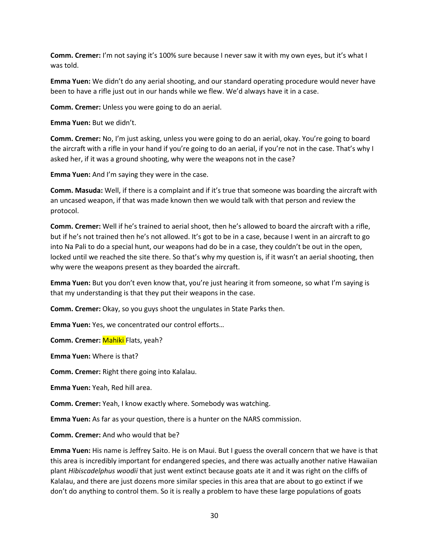**Comm. Cremer:** I'm not saying it's 100% sure because I never saw it with my own eyes, but it's what I was told.

**Emma Yuen:** We didn't do any aerial shooting, and our standard operating procedure would never have been to have a rifle just out in our hands while we flew. We'd always have it in a case.

**Comm. Cremer:** Unless you were going to do an aerial.

**Emma Yuen:** But we didn't.

**Comm. Cremer:** No, I'm just asking, unless you were going to do an aerial, okay. You're going to board the aircraft with a rifle in your hand if you're going to do an aerial, if you're not in the case. That's why I asked her, if it was a ground shooting, why were the weapons not in the case?

**Emma Yuen:** And I'm saying they were in the case.

**Comm. Masuda:** Well, if there is a complaint and if it's true that someone was boarding the aircraft with an uncased weapon, if that was made known then we would talk with that person and review the protocol.

**Comm. Cremer:** Well if he's trained to aerial shoot, then he's allowed to board the aircraft with a rifle, but if he's not trained then he's not allowed. It's got to be in a case, because I went in an aircraft to go into Na Pali to do a special hunt, our weapons had do be in a case, they couldn't be out in the open, locked until we reached the site there. So that's why my question is, if it wasn't an aerial shooting, then why were the weapons present as they boarded the aircraft.

**Emma Yuen:** But you don't even know that, you're just hearing it from someone, so what I'm saying is that my understanding is that they put their weapons in the case.

**Comm. Cremer:** Okay, so you guys shoot the ungulates in State Parks then.

**Emma Yuen:** Yes, we concentrated our control efforts…

**Comm. Cremer:** Mahiki Flats, yeah?

**Emma Yuen:** Where is that?

**Comm. Cremer:** Right there going into Kalalau.

**Emma Yuen:** Yeah, Red hill area.

**Comm. Cremer:** Yeah, I know exactly where. Somebody was watching.

**Emma Yuen:** As far as your question, there is a hunter on the NARS commission.

**Comm. Cremer:** And who would that be?

**Emma Yuen:** His name is Jeffrey Saito. He is on Maui. But I guess the overall concern that we have is that this area is incredibly important for endangered species, and there was actually another native Hawaiian plant *Hibiscadelphus woodii* that just went extinct because goats ate it and it was right on the cliffs of Kalalau, and there are just dozens more similar species in this area that are about to go extinct if we don't do anything to control them. So it is really a problem to have these large populations of goats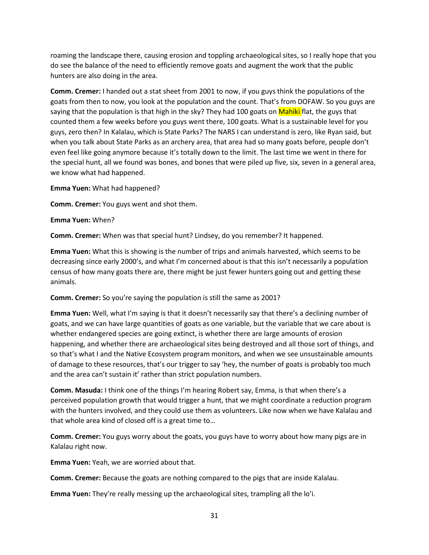roaming the landscape there, causing erosion and toppling archaeological sites, so I really hope that you do see the balance of the need to efficiently remove goats and augment the work that the public hunters are also doing in the area.

**Comm. Cremer:** I handed out a stat sheet from 2001 to now, if you guys think the populations of the goats from then to now, you look at the population and the count. That's from DOFAW. So you guys are saying that the population is that high in the sky? They had 100 goats on Mahiki flat, the guys that counted them a few weeks before you guys went there, 100 goats. What is a sustainable level for you guys, zero then? In Kalalau, which is State Parks? The NARS I can understand is zero, like Ryan said, but when you talk about State Parks as an archery area, that area had so many goats before, people don't even feel like going anymore because it's totally down to the limit. The last time we went in there for the special hunt, all we found was bones, and bones that were piled up five, six, seven in a general area, we know what had happened.

**Emma Yuen:** What had happened?

**Comm. Cremer:** You guys went and shot them.

**Emma Yuen:** When?

**Comm. Cremer:** When was that special hunt? Lindsey, do you remember? It happened.

**Emma Yuen:** What this is showing is the number of trips and animals harvested, which seems to be decreasing since early 2000's, and what I'm concerned about is that this isn't necessarily a population census of how many goats there are, there might be just fewer hunters going out and getting these animals.

**Comm. Cremer:** So you're saying the population is still the same as 2001?

**Emma Yuen:** Well, what I'm saying is that it doesn't necessarily say that there's a declining number of goats, and we can have large quantities of goats as one variable, but the variable that we care about is whether endangered species are going extinct, is whether there are large amounts of erosion happening, and whether there are archaeological sites being destroyed and all those sort of things, and so that's what I and the Native Ecosystem program monitors, and when we see unsustainable amounts of damage to these resources, that's our trigger to say 'hey, the number of goats is probably too much and the area can't sustain it' rather than strict population numbers.

**Comm. Masuda:** I think one of the things I'm hearing Robert say, Emma, is that when there's a perceived population growth that would trigger a hunt, that we might coordinate a reduction program with the hunters involved, and they could use them as volunteers. Like now when we have Kalalau and that whole area kind of closed off is a great time to…

**Comm. Cremer:** You guys worry about the goats, you guys have to worry about how many pigs are in Kalalau right now.

**Emma Yuen:** Yeah, we are worried about that.

**Comm. Cremer:** Because the goats are nothing compared to the pigs that are inside Kalalau.

**Emma Yuen:** They're really messing up the archaeological sites, trampling all the lo'i.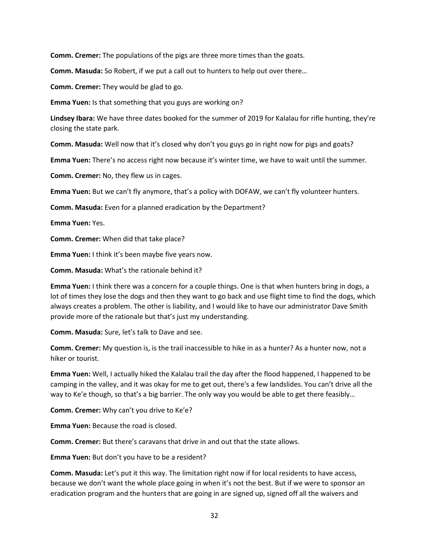**Comm. Cremer:** The populations of the pigs are three more times than the goats.

**Comm. Masuda:** So Robert, if we put a call out to hunters to help out over there…

**Comm. Cremer:** They would be glad to go.

**Emma Yuen:** Is that something that you guys are working on?

**Lindsey Ibara:** We have three dates booked for the summer of 2019 for Kalalau for rifle hunting, they're closing the state park.

**Comm. Masuda:** Well now that it's closed why don't you guys go in right now for pigs and goats?

**Emma Yuen:** There's no access right now because it's winter time, we have to wait until the summer.

**Comm. Cremer:** No, they flew us in cages.

**Emma Yuen:** But we can't fly anymore, that's a policy with DOFAW, we can't fly volunteer hunters.

**Comm. Masuda:** Even for a planned eradication by the Department?

**Emma Yuen:** Yes.

**Comm. Cremer:** When did that take place?

**Emma Yuen:** I think it's been maybe five years now.

**Comm. Masuda:** What's the rationale behind it?

**Emma Yuen:** I think there was a concern for a couple things. One is that when hunters bring in dogs, a lot of times they lose the dogs and then they want to go back and use flight time to find the dogs, which always creates a problem. The other is liability, and I would like to have our administrator Dave Smith provide more of the rationale but that's just my understanding.

**Comm. Masuda:** Sure, let's talk to Dave and see.

**Comm. Cremer:** My question is, is the trail inaccessible to hike in as a hunter? As a hunter now, not a hiker or tourist.

**Emma Yuen:** Well, I actually hiked the Kalalau trail the day after the flood happened, I happened to be camping in the valley, and it was okay for me to get out, there's a few landslides. You can't drive all the way to Ke'e though, so that's a big barrier. The only way you would be able to get there feasibly…

**Comm. Cremer:** Why can't you drive to Ke'e?

**Emma Yuen:** Because the road is closed.

**Comm. Cremer:** But there's caravans that drive in and out that the state allows.

**Emma Yuen:** But don't you have to be a resident?

**Comm. Masuda:** Let's put it this way. The limitation right now if for local residents to have access, because we don't want the whole place going in when it's not the best. But if we were to sponsor an eradication program and the hunters that are going in are signed up, signed off all the waivers and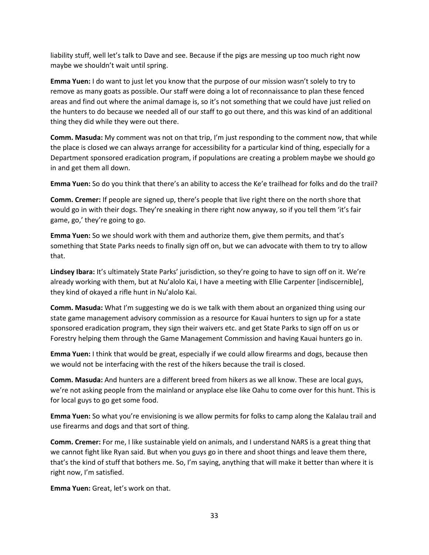liability stuff, well let's talk to Dave and see. Because if the pigs are messing up too much right now maybe we shouldn't wait until spring.

**Emma Yuen:** I do want to just let you know that the purpose of our mission wasn't solely to try to remove as many goats as possible. Our staff were doing a lot of reconnaissance to plan these fenced areas and find out where the animal damage is, so it's not something that we could have just relied on the hunters to do because we needed all of our staff to go out there, and this was kind of an additional thing they did while they were out there.

**Comm. Masuda:** My comment was not on that trip, I'm just responding to the comment now, that while the place is closed we can always arrange for accessibility for a particular kind of thing, especially for a Department sponsored eradication program, if populations are creating a problem maybe we should go in and get them all down.

**Emma Yuen:** So do you think that there's an ability to access the Ke'e trailhead for folks and do the trail?

**Comm. Cremer:** If people are signed up, there's people that live right there on the north shore that would go in with their dogs. They're sneaking in there right now anyway, so if you tell them 'it's fair game, go,' they're going to go.

**Emma Yuen:** So we should work with them and authorize them, give them permits, and that's something that State Parks needs to finally sign off on, but we can advocate with them to try to allow that.

**Lindsey Ibara:** It's ultimately State Parks' jurisdiction, so they're going to have to sign off on it. We're already working with them, but at Nu'alolo Kai, I have a meeting with Ellie Carpenter [indiscernible], they kind of okayed a rifle hunt in Nu'alolo Kai.

**Comm. Masuda:** What I'm suggesting we do is we talk with them about an organized thing using our state game management advisory commission as a resource for Kauai hunters to sign up for a state sponsored eradication program, they sign their waivers etc. and get State Parks to sign off on us or Forestry helping them through the Game Management Commission and having Kauai hunters go in.

**Emma Yuen:** I think that would be great, especially if we could allow firearms and dogs, because then we would not be interfacing with the rest of the hikers because the trail is closed.

**Comm. Masuda:** And hunters are a different breed from hikers as we all know. These are local guys, we're not asking people from the mainland or anyplace else like Oahu to come over for this hunt. This is for local guys to go get some food.

**Emma Yuen:** So what you're envisioning is we allow permits for folks to camp along the Kalalau trail and use firearms and dogs and that sort of thing.

**Comm. Cremer:** For me, I like sustainable yield on animals, and I understand NARS is a great thing that we cannot fight like Ryan said. But when you guys go in there and shoot things and leave them there, that's the kind of stuff that bothers me. So, I'm saying, anything that will make it better than where it is right now, I'm satisfied.

**Emma Yuen:** Great, let's work on that.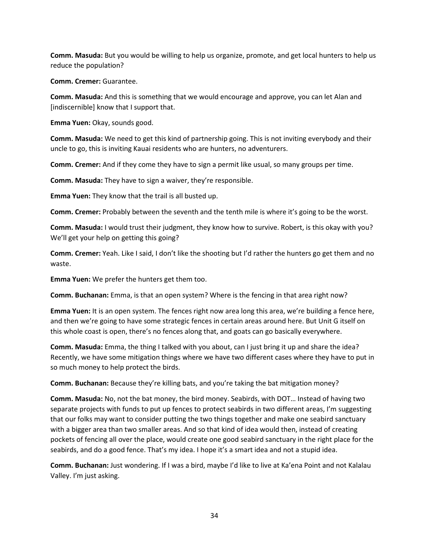**Comm. Masuda:** But you would be willing to help us organize, promote, and get local hunters to help us reduce the population?

**Comm. Cremer:** Guarantee.

**Comm. Masuda:** And this is something that we would encourage and approve, you can let Alan and [indiscernible] know that I support that.

**Emma Yuen:** Okay, sounds good.

**Comm. Masuda:** We need to get this kind of partnership going. This is not inviting everybody and their uncle to go, this is inviting Kauai residents who are hunters, no adventurers.

**Comm. Cremer:** And if they come they have to sign a permit like usual, so many groups per time.

**Comm. Masuda:** They have to sign a waiver, they're responsible.

**Emma Yuen:** They know that the trail is all busted up.

**Comm. Cremer:** Probably between the seventh and the tenth mile is where it's going to be the worst.

**Comm. Masuda:** I would trust their judgment, they know how to survive. Robert, is this okay with you? We'll get your help on getting this going?

**Comm. Cremer:** Yeah. Like I said, I don't like the shooting but I'd rather the hunters go get them and no waste.

**Emma Yuen:** We prefer the hunters get them too.

**Comm. Buchanan:** Emma, is that an open system? Where is the fencing in that area right now?

**Emma Yuen:** It is an open system. The fences right now area long this area, we're building a fence here, and then we're going to have some strategic fences in certain areas around here. But Unit G itself on this whole coast is open, there's no fences along that, and goats can go basically everywhere.

**Comm. Masuda:** Emma, the thing I talked with you about, can I just bring it up and share the idea? Recently, we have some mitigation things where we have two different cases where they have to put in so much money to help protect the birds.

**Comm. Buchanan:** Because they're killing bats, and you're taking the bat mitigation money?

**Comm. Masuda:** No, not the bat money, the bird money. Seabirds, with DOT… Instead of having two separate projects with funds to put up fences to protect seabirds in two different areas, I'm suggesting that our folks may want to consider putting the two things together and make one seabird sanctuary with a bigger area than two smaller areas. And so that kind of idea would then, instead of creating pockets of fencing all over the place, would create one good seabird sanctuary in the right place for the seabirds, and do a good fence. That's my idea. I hope it's a smart idea and not a stupid idea.

**Comm. Buchanan:** Just wondering. If I was a bird, maybe I'd like to live at Ka'ena Point and not Kalalau Valley. I'm just asking.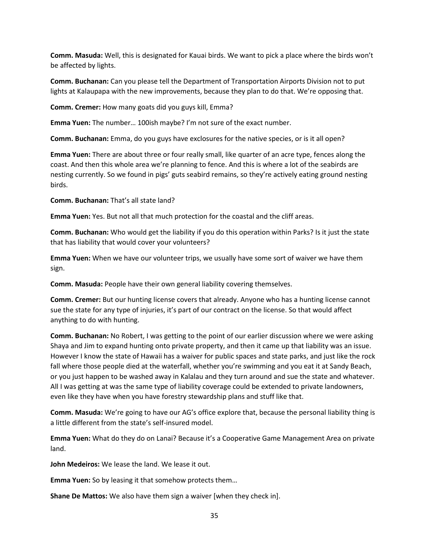**Comm. Masuda:** Well, this is designated for Kauai birds. We want to pick a place where the birds won't be affected by lights.

**Comm. Buchanan:** Can you please tell the Department of Transportation Airports Division not to put lights at Kalaupapa with the new improvements, because they plan to do that. We're opposing that.

**Comm. Cremer:** How many goats did you guys kill, Emma?

**Emma Yuen:** The number… 100ish maybe? I'm not sure of the exact number.

**Comm. Buchanan:** Emma, do you guys have exclosures for the native species, or is it all open?

**Emma Yuen:** There are about three or four really small, like quarter of an acre type, fences along the coast. And then this whole area we're planning to fence. And this is where a lot of the seabirds are nesting currently. So we found in pigs' guts seabird remains, so they're actively eating ground nesting birds.

**Comm. Buchanan:** That's all state land?

**Emma Yuen:** Yes. But not all that much protection for the coastal and the cliff areas.

**Comm. Buchanan:** Who would get the liability if you do this operation within Parks? Is it just the state that has liability that would cover your volunteers?

**Emma Yuen:** When we have our volunteer trips, we usually have some sort of waiver we have them sign.

**Comm. Masuda:** People have their own general liability covering themselves.

**Comm. Cremer:** But our hunting license covers that already. Anyone who has a hunting license cannot sue the state for any type of injuries, it's part of our contract on the license. So that would affect anything to do with hunting.

**Comm. Buchanan:** No Robert, I was getting to the point of our earlier discussion where we were asking Shaya and Jim to expand hunting onto private property, and then it came up that liability was an issue. However I know the state of Hawaii has a waiver for public spaces and state parks, and just like the rock fall where those people died at the waterfall, whether you're swimming and you eat it at Sandy Beach, or you just happen to be washed away in Kalalau and they turn around and sue the state and whatever. All I was getting at was the same type of liability coverage could be extended to private landowners, even like they have when you have forestry stewardship plans and stuff like that.

**Comm. Masuda:** We're going to have our AG's office explore that, because the personal liability thing is a little different from the state's self-insured model.

**Emma Yuen:** What do they do on Lanai? Because it's a Cooperative Game Management Area on private land.

**John Medeiros:** We lease the land. We lease it out.

**Emma Yuen:** So by leasing it that somehow protects them…

**Shane De Mattos:** We also have them sign a waiver [when they check in].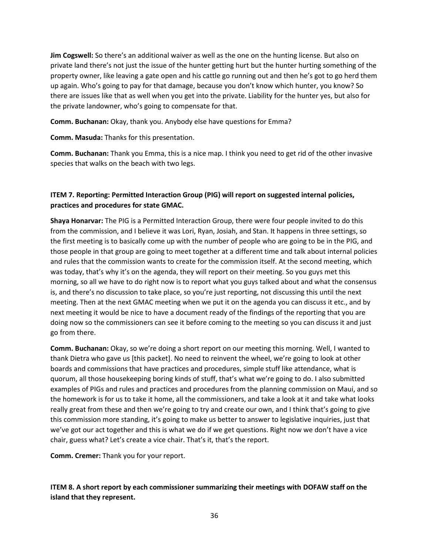**Jim Cogswell:** So there's an additional waiver as well as the one on the hunting license. But also on private land there's not just the issue of the hunter getting hurt but the hunter hurting something of the property owner, like leaving a gate open and his cattle go running out and then he's got to go herd them up again. Who's going to pay for that damage, because you don't know which hunter, you know? So there are issues like that as well when you get into the private. Liability for the hunter yes, but also for the private landowner, who's going to compensate for that.

**Comm. Buchanan:** Okay, thank you. Anybody else have questions for Emma?

**Comm. Masuda:** Thanks for this presentation.

**Comm. Buchanan:** Thank you Emma, this is a nice map. I think you need to get rid of the other invasive species that walks on the beach with two legs.

# **ITEM 7. Reporting: Permitted Interaction Group (PIG) will report on suggested internal policies, practices and procedures for state GMAC.**

**Shaya Honarvar:** The PIG is a Permitted Interaction Group, there were four people invited to do this from the commission, and I believe it was Lori, Ryan, Josiah, and Stan. It happens in three settings, so the first meeting is to basically come up with the number of people who are going to be in the PIG, and those people in that group are going to meet together at a different time and talk about internal policies and rules that the commission wants to create for the commission itself. At the second meeting, which was today, that's why it's on the agenda, they will report on their meeting. So you guys met this morning, so all we have to do right now is to report what you guys talked about and what the consensus is, and there's no discussion to take place, so you're just reporting, not discussing this until the next meeting. Then at the next GMAC meeting when we put it on the agenda you can discuss it etc., and by next meeting it would be nice to have a document ready of the findings of the reporting that you are doing now so the commissioners can see it before coming to the meeting so you can discuss it and just go from there.

**Comm. Buchanan:** Okay, so we're doing a short report on our meeting this morning. Well, I wanted to thank Dietra who gave us [this packet]. No need to reinvent the wheel, we're going to look at other boards and commissions that have practices and procedures, simple stuff like attendance, what is quorum, all those housekeeping boring kinds of stuff, that's what we're going to do. I also submitted examples of PIGs and rules and practices and procedures from the planning commission on Maui, and so the homework is for us to take it home, all the commissioners, and take a look at it and take what looks really great from these and then we're going to try and create our own, and I think that's going to give this commission more standing, it's going to make us better to answer to legislative inquiries, just that we've got our act together and this is what we do if we get questions. Right now we don't have a vice chair, guess what? Let's create a vice chair. That's it, that's the report.

**Comm. Cremer:** Thank you for your report.

**ITEM 8. A short report by each commissioner summarizing their meetings with DOFAW staff on the island that they represent.**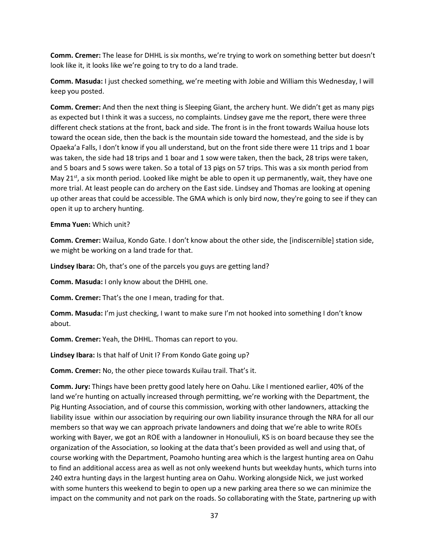**Comm. Cremer:** The lease for DHHL is six months, we're trying to work on something better but doesn't look like it, it looks like we're going to try to do a land trade.

**Comm. Masuda:** I just checked something, we're meeting with Jobie and William this Wednesday, I will keep you posted.

**Comm. Cremer:** And then the next thing is Sleeping Giant, the archery hunt. We didn't get as many pigs as expected but I think it was a success, no complaints. Lindsey gave me the report, there were three different check stations at the front, back and side. The front is in the front towards Wailua house lots toward the ocean side, then the back is the mountain side toward the homestead, and the side is by Opaeka'a Falls, I don't know if you all understand, but on the front side there were 11 trips and 1 boar was taken, the side had 18 trips and 1 boar and 1 sow were taken, then the back, 28 trips were taken, and 5 boars and 5 sows were taken. So a total of 13 pigs on 57 trips. This was a six month period from May 21<sup>st</sup>, a six month period. Looked like might be able to open it up permanently, wait, they have one more trial. At least people can do archery on the East side. Lindsey and Thomas are looking at opening up other areas that could be accessible. The GMA which is only bird now, they're going to see if they can open it up to archery hunting.

## **Emma Yuen:** Which unit?

**Comm. Cremer:** Wailua, Kondo Gate. I don't know about the other side, the [indiscernible] station side, we might be working on a land trade for that.

**Lindsey Ibara:** Oh, that's one of the parcels you guys are getting land?

**Comm. Masuda:** I only know about the DHHL one.

**Comm. Cremer:** That's the one I mean, trading for that.

**Comm. Masuda:** I'm just checking, I want to make sure I'm not hooked into something I don't know about.

**Comm. Cremer:** Yeah, the DHHL. Thomas can report to you.

**Lindsey Ibara:** Is that half of Unit I? From Kondo Gate going up?

**Comm. Cremer:** No, the other piece towards Kuilau trail. That's it.

**Comm. Jury:** Things have been pretty good lately here on Oahu. Like I mentioned earlier, 40% of the land we're hunting on actually increased through permitting, we're working with the Department, the Pig Hunting Association, and of course this commission, working with other landowners, attacking the liability issue within our association by requiring our own liability insurance through the NRA for all our members so that way we can approach private landowners and doing that we're able to write ROEs working with Bayer, we got an ROE with a landowner in Honouliuli, KS is on board because they see the organization of the Association, so looking at the data that's been provided as well and using that, of course working with the Department, Poamoho hunting area which is the largest hunting area on Oahu to find an additional access area as well as not only weekend hunts but weekday hunts, which turns into 240 extra hunting days in the largest hunting area on Oahu. Working alongside Nick, we just worked with some hunters this weekend to begin to open up a new parking area there so we can minimize the impact on the community and not park on the roads. So collaborating with the State, partnering up with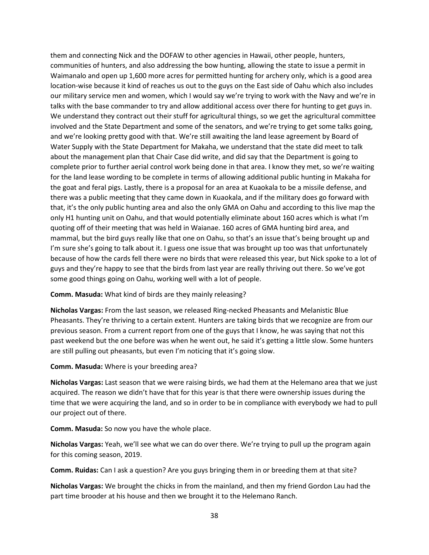them and connecting Nick and the DOFAW to other agencies in Hawaii, other people, hunters, communities of hunters, and also addressing the bow hunting, allowing the state to issue a permit in Waimanalo and open up 1,600 more acres for permitted hunting for archery only, which is a good area location-wise because it kind of reaches us out to the guys on the East side of Oahu which also includes our military service men and women, which I would say we're trying to work with the Navy and we're in talks with the base commander to try and allow additional access over there for hunting to get guys in. We understand they contract out their stuff for agricultural things, so we get the agricultural committee involved and the State Department and some of the senators, and we're trying to get some talks going, and we're looking pretty good with that. We're still awaiting the land lease agreement by Board of Water Supply with the State Department for Makaha, we understand that the state did meet to talk about the management plan that Chair Case did write, and did say that the Department is going to complete prior to further aerial control work being done in that area. I know they met, so we're waiting for the land lease wording to be complete in terms of allowing additional public hunting in Makaha for the goat and feral pigs. Lastly, there is a proposal for an area at Kuaokala to be a missile defense, and there was a public meeting that they came down in Kuaokala, and if the military does go forward with that, it's the only public hunting area and also the only GMA on Oahu and according to this live map the only H1 hunting unit on Oahu, and that would potentially eliminate about 160 acres which is what I'm quoting off of their meeting that was held in Waianae. 160 acres of GMA hunting bird area, and mammal, but the bird guys really like that one on Oahu, so that's an issue that's being brought up and I'm sure she's going to talk about it. I guess one issue that was brought up too was that unfortunately because of how the cards fell there were no birds that were released this year, but Nick spoke to a lot of guys and they're happy to see that the birds from last year are really thriving out there. So we've got some good things going on Oahu, working well with a lot of people.

## **Comm. Masuda:** What kind of birds are they mainly releasing?

**Nicholas Vargas:** From the last season, we released Ring-necked Pheasants and Melanistic Blue Pheasants. They're thriving to a certain extent. Hunters are taking birds that we recognize are from our previous season. From a current report from one of the guys that I know, he was saying that not this past weekend but the one before was when he went out, he said it's getting a little slow. Some hunters are still pulling out pheasants, but even I'm noticing that it's going slow.

### **Comm. Masuda:** Where is your breeding area?

**Nicholas Vargas:** Last season that we were raising birds, we had them at the Helemano area that we just acquired. The reason we didn't have that for this year is that there were ownership issues during the time that we were acquiring the land, and so in order to be in compliance with everybody we had to pull our project out of there.

**Comm. Masuda:** So now you have the whole place.

**Nicholas Vargas:** Yeah, we'll see what we can do over there. We're trying to pull up the program again for this coming season, 2019.

**Comm. Ruidas:** Can I ask a question? Are you guys bringing them in or breeding them at that site?

**Nicholas Vargas:** We brought the chicks in from the mainland, and then my friend Gordon Lau had the part time brooder at his house and then we brought it to the Helemano Ranch.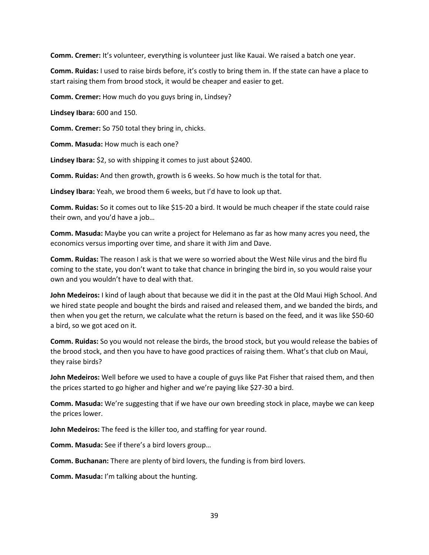**Comm. Cremer:** It's volunteer, everything is volunteer just like Kauai. We raised a batch one year.

**Comm. Ruidas:** I used to raise birds before, it's costly to bring them in. If the state can have a place to start raising them from brood stock, it would be cheaper and easier to get.

**Comm. Cremer:** How much do you guys bring in, Lindsey?

**Lindsey Ibara:** 600 and 150.

**Comm. Cremer:** So 750 total they bring in, chicks.

**Comm. Masuda:** How much is each one?

**Lindsey Ibara:** \$2, so with shipping it comes to just about \$2400.

**Comm. Ruidas:** And then growth, growth is 6 weeks. So how much is the total for that.

**Lindsey Ibara:** Yeah, we brood them 6 weeks, but I'd have to look up that.

**Comm. Ruidas:** So it comes out to like \$15-20 a bird. It would be much cheaper if the state could raise their own, and you'd have a job…

**Comm. Masuda:** Maybe you can write a project for Helemano as far as how many acres you need, the economics versus importing over time, and share it with Jim and Dave.

**Comm. Ruidas:** The reason I ask is that we were so worried about the West Nile virus and the bird flu coming to the state, you don't want to take that chance in bringing the bird in, so you would raise your own and you wouldn't have to deal with that.

**John Medeiros:** I kind of laugh about that because we did it in the past at the Old Maui High School. And we hired state people and bought the birds and raised and released them, and we banded the birds, and then when you get the return, we calculate what the return is based on the feed, and it was like \$50-60 a bird, so we got aced on it.

**Comm. Ruidas:** So you would not release the birds, the brood stock, but you would release the babies of the brood stock, and then you have to have good practices of raising them. What's that club on Maui, they raise birds?

**John Medeiros:** Well before we used to have a couple of guys like Pat Fisher that raised them, and then the prices started to go higher and higher and we're paying like \$27-30 a bird.

**Comm. Masuda:** We're suggesting that if we have our own breeding stock in place, maybe we can keep the prices lower.

**John Medeiros:** The feed is the killer too, and staffing for year round.

**Comm. Masuda:** See if there's a bird lovers group…

**Comm. Buchanan:** There are plenty of bird lovers, the funding is from bird lovers.

**Comm. Masuda:** I'm talking about the hunting.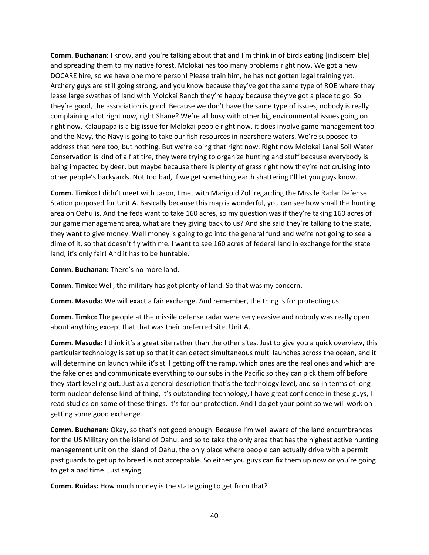**Comm. Buchanan:** I know, and you're talking about that and I'm think in of birds eating [indiscernible] and spreading them to my native forest. Molokai has too many problems right now. We got a new DOCARE hire, so we have one more person! Please train him, he has not gotten legal training yet. Archery guys are still going strong, and you know because they've got the same type of ROE where they lease large swathes of land with Molokai Ranch they're happy because they've got a place to go. So they're good, the association is good. Because we don't have the same type of issues, nobody is really complaining a lot right now, right Shane? We're all busy with other big environmental issues going on right now. Kalaupapa is a big issue for Molokai people right now, it does involve game management too and the Navy, the Navy is going to take our fish resources in nearshore waters. We're supposed to address that here too, but nothing. But we're doing that right now. Right now Molokai Lanai Soil Water Conservation is kind of a flat tire, they were trying to organize hunting and stuff because everybody is being impacted by deer, but maybe because there is plenty of grass right now they're not cruising into other people's backyards. Not too bad, if we get something earth shattering I'll let you guys know.

**Comm. Timko:** I didn't meet with Jason, I met with Marigold Zoll regarding the Missile Radar Defense Station proposed for Unit A. Basically because this map is wonderful, you can see how small the hunting area on Oahu is. And the feds want to take 160 acres, so my question was if they're taking 160 acres of our game management area, what are they giving back to us? And she said they're talking to the state, they want to give money. Well money is going to go into the general fund and we're not going to see a dime of it, so that doesn't fly with me. I want to see 160 acres of federal land in exchange for the state land, it's only fair! And it has to be huntable.

**Comm. Buchanan:** There's no more land.

**Comm. Timko:** Well, the military has got plenty of land. So that was my concern.

**Comm. Masuda:** We will exact a fair exchange. And remember, the thing is for protecting us.

**Comm. Timko:** The people at the missile defense radar were very evasive and nobody was really open about anything except that that was their preferred site, Unit A.

**Comm. Masuda:** I think it's a great site rather than the other sites. Just to give you a quick overview, this particular technology is set up so that it can detect simultaneous multi launches across the ocean, and it will determine on launch while it's still getting off the ramp, which ones are the real ones and which are the fake ones and communicate everything to our subs in the Pacific so they can pick them off before they start leveling out. Just as a general description that's the technology level, and so in terms of long term nuclear defense kind of thing, it's outstanding technology, I have great confidence in these guys, I read studies on some of these things. It's for our protection. And I do get your point so we will work on getting some good exchange.

**Comm. Buchanan:** Okay, so that's not good enough. Because I'm well aware of the land encumbrances for the US Military on the island of Oahu, and so to take the only area that has the highest active hunting management unit on the island of Oahu, the only place where people can actually drive with a permit past guards to get up to breed is not acceptable. So either you guys can fix them up now or you're going to get a bad time. Just saying.

**Comm. Ruidas:** How much money is the state going to get from that?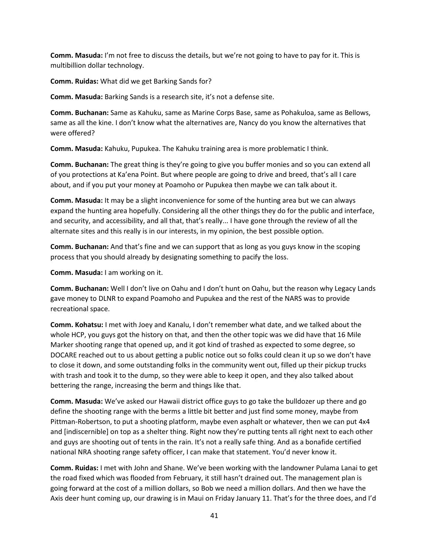**Comm. Masuda:** I'm not free to discuss the details, but we're not going to have to pay for it. This is multibillion dollar technology.

**Comm. Ruidas:** What did we get Barking Sands for?

**Comm. Masuda:** Barking Sands is a research site, it's not a defense site.

**Comm. Buchanan:** Same as Kahuku, same as Marine Corps Base, same as Pohakuloa, same as Bellows, same as all the kine. I don't know what the alternatives are, Nancy do you know the alternatives that were offered?

**Comm. Masuda:** Kahuku, Pupukea. The Kahuku training area is more problematic I think.

**Comm. Buchanan:** The great thing is they're going to give you buffer monies and so you can extend all of you protections at Ka'ena Point. But where people are going to drive and breed, that's all I care about, and if you put your money at Poamoho or Pupukea then maybe we can talk about it.

**Comm. Masuda:** It may be a slight inconvenience for some of the hunting area but we can always expand the hunting area hopefully. Considering all the other things they do for the public and interface, and security, and accessibility, and all that, that's really... I have gone through the review of all the alternate sites and this really is in our interests, in my opinion, the best possible option.

**Comm. Buchanan:** And that's fine and we can support that as long as you guys know in the scoping process that you should already by designating something to pacify the loss.

**Comm. Masuda:** I am working on it.

**Comm. Buchanan:** Well I don't live on Oahu and I don't hunt on Oahu, but the reason why Legacy Lands gave money to DLNR to expand Poamoho and Pupukea and the rest of the NARS was to provide recreational space.

**Comm. Kohatsu:** I met with Joey and Kanalu, I don't remember what date, and we talked about the whole HCP, you guys got the history on that, and then the other topic was we did have that 16 Mile Marker shooting range that opened up, and it got kind of trashed as expected to some degree, so DOCARE reached out to us about getting a public notice out so folks could clean it up so we don't have to close it down, and some outstanding folks in the community went out, filled up their pickup trucks with trash and took it to the dump, so they were able to keep it open, and they also talked about bettering the range, increasing the berm and things like that.

**Comm. Masuda:** We've asked our Hawaii district office guys to go take the bulldozer up there and go define the shooting range with the berms a little bit better and just find some money, maybe from Pittman-Robertson, to put a shooting platform, maybe even asphalt or whatever, then we can put 4x4 and [indiscernible] on top as a shelter thing. Right now they're putting tents all right next to each other and guys are shooting out of tents in the rain. It's not a really safe thing. And as a bonafide certified national NRA shooting range safety officer, I can make that statement. You'd never know it.

**Comm. Ruidas:** I met with John and Shane. We've been working with the landowner Pulama Lanai to get the road fixed which was flooded from February, it still hasn't drained out. The management plan is going forward at the cost of a million dollars, so Bob we need a million dollars. And then we have the Axis deer hunt coming up, our drawing is in Maui on Friday January 11. That's for the three does, and I'd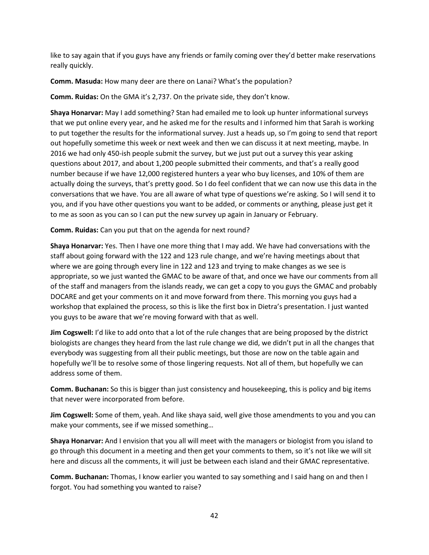like to say again that if you guys have any friends or family coming over they'd better make reservations really quickly.

**Comm. Masuda:** How many deer are there on Lanai? What's the population?

**Comm. Ruidas:** On the GMA it's 2,737. On the private side, they don't know.

**Shaya Honarvar:** May I add something? Stan had emailed me to look up hunter informational surveys that we put online every year, and he asked me for the results and I informed him that Sarah is working to put together the results for the informational survey. Just a heads up, so I'm going to send that report out hopefully sometime this week or next week and then we can discuss it at next meeting, maybe. In 2016 we had only 450-ish people submit the survey, but we just put out a survey this year asking questions about 2017, and about 1,200 people submitted their comments, and that's a really good number because if we have 12,000 registered hunters a year who buy licenses, and 10% of them are actually doing the surveys, that's pretty good. So I do feel confident that we can now use this data in the conversations that we have. You are all aware of what type of questions we're asking. So I will send it to you, and if you have other questions you want to be added, or comments or anything, please just get it to me as soon as you can so I can put the new survey up again in January or February.

**Comm. Ruidas:** Can you put that on the agenda for next round?

**Shaya Honarvar:** Yes. Then I have one more thing that I may add. We have had conversations with the staff about going forward with the 122 and 123 rule change, and we're having meetings about that where we are going through every line in 122 and 123 and trying to make changes as we see is appropriate, so we just wanted the GMAC to be aware of that, and once we have our comments from all of the staff and managers from the islands ready, we can get a copy to you guys the GMAC and probably DOCARE and get your comments on it and move forward from there. This morning you guys had a workshop that explained the process, so this is like the first box in Dietra's presentation. I just wanted you guys to be aware that we're moving forward with that as well.

**Jim Cogswell:** I'd like to add onto that a lot of the rule changes that are being proposed by the district biologists are changes they heard from the last rule change we did, we didn't put in all the changes that everybody was suggesting from all their public meetings, but those are now on the table again and hopefully we'll be to resolve some of those lingering requests. Not all of them, but hopefully we can address some of them.

**Comm. Buchanan:** So this is bigger than just consistency and housekeeping, this is policy and big items that never were incorporated from before.

**Jim Cogswell:** Some of them, yeah. And like shaya said, well give those amendments to you and you can make your comments, see if we missed something…

**Shaya Honarvar:** And I envision that you all will meet with the managers or biologist from you island to go through this document in a meeting and then get your comments to them, so it's not like we will sit here and discuss all the comments, it will just be between each island and their GMAC representative.

**Comm. Buchanan:** Thomas, I know earlier you wanted to say something and I said hang on and then I forgot. You had something you wanted to raise?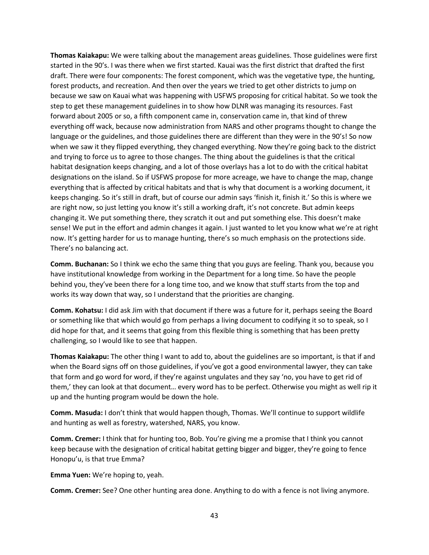**Thomas Kaiakapu:** We were talking about the management areas guidelines. Those guidelines were first started in the 90's. I was there when we first started. Kauai was the first district that drafted the first draft. There were four components: The forest component, which was the vegetative type, the hunting, forest products, and recreation. And then over the years we tried to get other districts to jump on because we saw on Kauai what was happening with USFWS proposing for critical habitat. So we took the step to get these management guidelines in to show how DLNR was managing its resources. Fast forward about 2005 or so, a fifth component came in, conservation came in, that kind of threw everything off wack, because now administration from NARS and other programs thought to change the language or the guidelines, and those guidelines there are different than they were in the 90's! So now when we saw it they flipped everything, they changed everything. Now they're going back to the district and trying to force us to agree to those changes. The thing about the guidelines is that the critical habitat designation keeps changing, and a lot of those overlays has a lot to do with the critical habitat designations on the island. So if USFWS propose for more acreage, we have to change the map, change everything that is affected by critical habitats and that is why that document is a working document, it keeps changing. So it's still in draft, but of course our admin says 'finish it, finish it.' So this is where we are right now, so just letting you know it's still a working draft, it's not concrete. But admin keeps changing it. We put something there, they scratch it out and put something else. This doesn't make sense! We put in the effort and admin changes it again. I just wanted to let you know what we're at right now. It's getting harder for us to manage hunting, there's so much emphasis on the protections side. There's no balancing act.

**Comm. Buchanan:** So I think we echo the same thing that you guys are feeling. Thank you, because you have institutional knowledge from working in the Department for a long time. So have the people behind you, they've been there for a long time too, and we know that stuff starts from the top and works its way down that way, so I understand that the priorities are changing.

**Comm. Kohatsu:** I did ask Jim with that document if there was a future for it, perhaps seeing the Board or something like that which would go from perhaps a living document to codifying it so to speak, so I did hope for that, and it seems that going from this flexible thing is something that has been pretty challenging, so I would like to see that happen.

**Thomas Kaiakapu:** The other thing I want to add to, about the guidelines are so important, is that if and when the Board signs off on those guidelines, if you've got a good environmental lawyer, they can take that form and go word for word, if they're against ungulates and they say 'no, you have to get rid of them,' they can look at that document… every word has to be perfect. Otherwise you might as well rip it up and the hunting program would be down the hole.

**Comm. Masuda:** I don't think that would happen though, Thomas. We'll continue to support wildlife and hunting as well as forestry, watershed, NARS, you know.

**Comm. Cremer:** I think that for hunting too, Bob. You're giving me a promise that I think you cannot keep because with the designation of critical habitat getting bigger and bigger, they're going to fence Honopu'u, is that true Emma?

**Emma Yuen:** We're hoping to, yeah.

**Comm. Cremer:** See? One other hunting area done. Anything to do with a fence is not living anymore.